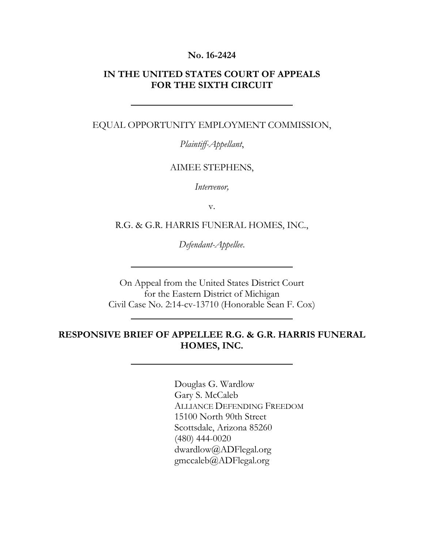#### **No. 16-2424**

### **IN THE UNITED STATES COURT OF APPEALS FOR THE SIXTH CIRCUIT**

#### EQUAL OPPORTUNITY EMPLOYMENT COMMISSION,

*Plaintiff-Appellant*,

#### AIMEE STEPHENS,

*Intervenor,*

v.

R.G. & G.R. HARRIS FUNERAL HOMES, INC.,

*Defendant-Appellee*.

On Appeal from the United States District Court for the Eastern District of Michigan Civil Case No. 2:14-cv-13710 (Honorable Sean F. Cox)

### **RESPONSIVE BRIEF OF APPELLEE R.G. & G.R. HARRIS FUNERAL HOMES, INC.**

Douglas G. Wardlow Gary S. McCaleb ALLIANCE DEFENDING FREEDOM 15100 North 90th Street Scottsdale, Arizona 85260 (480) 444-0020 dwardlow@ADFlegal.org gmccaleb@ADFlegal.org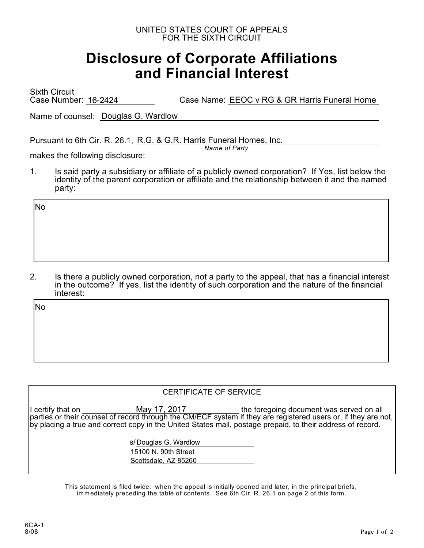#### UNITED STATES COURT OF APPEALS FOR THE SIXTH CIRCUIT

# **Disclosure of Corporate Affiliations and Financial Interest**

Sixth Circuit Case Number: 16-2424 Case Name: EEOC v RG & GR Harris Funeral Home

Name of counsel: Douglas G. Wardlow

Pursuant to 6th Cir. R. 26.1, R.G. & G.R. Harris Funeral Homes, Inc.

*Name of Party*

makes the following disclosure:

1. Is said party a subsidiary or affiliate of a publicly owned corporation? If Yes, list below the identity of the parent corporation or affiliate and the relationship between it and the named party:

No

2. Is there a publicly owned corporation, not a party to the appeal, that has a financial interest in the outcome? If yes, list the identity of such corporation and the nature of the financial interest:

No

#### CERTIFICATE OF SERVICE

I certify that on **EXEC SECONGE THE MAY 17, 2017** The foregoing document was served on all parties or their counsel of record through the CM/ECF system if they are registered users or, if they are not, by placing a true and correct copy in the United States mail, postage prepaid, to their address of record. May 17, 2017

> s/ Douglas G. Wardlow 15100 N. 90th Street Scottsdale, AZ 85260

This statement is filed twice: when the appeal is initially opened and later, in the principal briefs, immediately preceding the table of contents. See 6th Cir. R. 26.1 on page 2 of this form.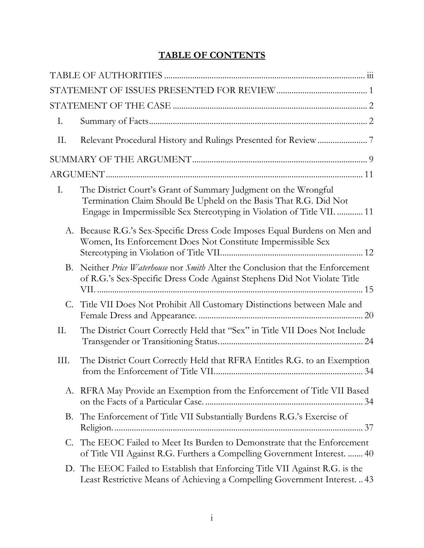### **TABLE OF CONTENTS**

| Ι.   |                                                                                                                                                                                                                |
|------|----------------------------------------------------------------------------------------------------------------------------------------------------------------------------------------------------------------|
| П.   |                                                                                                                                                                                                                |
|      |                                                                                                                                                                                                                |
|      |                                                                                                                                                                                                                |
| I.   | The District Court's Grant of Summary Judgment on the Wrongful<br>Termination Claim Should Be Upheld on the Basis That R.G. Did Not<br>Engage in Impermissible Sex Stereotyping in Violation of Title VII.  11 |
| А.   | Because R.G.'s Sex-Specific Dress Code Imposes Equal Burdens on Men and<br>Women, Its Enforcement Does Not Constitute Impermissible Sex                                                                        |
| B.   | Neither Price Waterhouse nor Smith Alter the Conclusion that the Enforcement<br>of R.G.'s Sex-Specific Dress Code Against Stephens Did Not Violate Title                                                       |
|      | C. Title VII Does Not Prohibit All Customary Distinctions between Male and                                                                                                                                     |
| Π.   | The District Court Correctly Held that "Sex" in Title VII Does Not Include                                                                                                                                     |
| III. | The District Court Correctly Held that RFRA Entitles R.G. to an Exemption                                                                                                                                      |
|      | A. RFRA May Provide an Exemption from the Enforcement of Title VII Based                                                                                                                                       |
|      | B. The Enforcement of Title VII Substantially Burdens R.G.'s Exercise of                                                                                                                                       |
| C.   | The EEOC Failed to Meet Its Burden to Demonstrate that the Enforcement<br>of Title VII Against R.G. Furthers a Compelling Government Interest.  40                                                             |
|      | D. The EEOC Failed to Establish that Enforcing Title VII Against R.G. is the<br>Least Restrictive Means of Achieving a Compelling Government Interest.  43                                                     |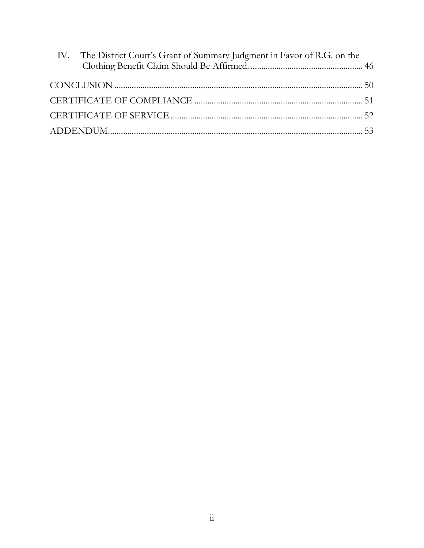| IV. The District Court's Grant of Summary Judgment in Favor of R.G. on the |  |
|----------------------------------------------------------------------------|--|
|                                                                            |  |
|                                                                            |  |
|                                                                            |  |
|                                                                            |  |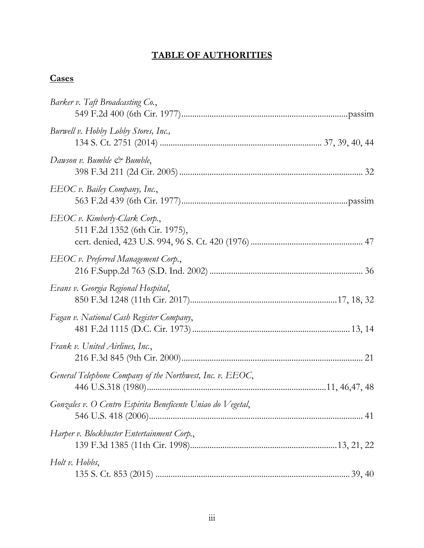### **TABLE OF AUTHORITIES**

## <span id="page-4-0"></span>**Cases**

| Barker v. Taft Broadcasting Co.,                                |
|-----------------------------------------------------------------|
| Burwell v. Hobby Lobby Stores, Inc.,                            |
| Dawson v. Bumble & Bumble,                                      |
| EEOC v. Bailey Company, Inc.,                                   |
| EEOC v. Kimberly-Clark Corp.,<br>511 F.2d 1352 (6th Cir. 1975), |
| EEOC v. Preferred Management Corp.,                             |
| Evans v. Georgia Regional Hospital,                             |
| Fagan v. National Cash Register Company,                        |
| Frank v. United Airlines, Inc.,                                 |
| General Telephone Company of the Northwest, Inc. v. EEOC,       |
| Gonzales v. O Centro Espirita Beneficente Uniao do Vegetal,     |
| Harper v. Blockbuster Entertainment Corp.,                      |
| Holt v. Hobbs,                                                  |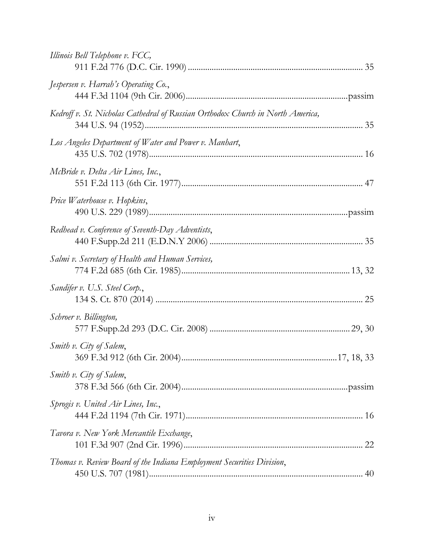| Illinois Bell Telephone v. FCC,                                                |    |
|--------------------------------------------------------------------------------|----|
| Jespersen v. Harrah's Operating Co.,                                           |    |
| Kedroff v. St. Nicholas Cathedral of Russian Orthodox Church in North America, |    |
| Los Angeles Department of Water and Power v. Manhart,                          |    |
| McBride v. Delta Air Lines, Inc.,                                              |    |
| Price Waterhouse v. Hopkins,                                                   |    |
| Redhead v. Conference of Seventh-Day Adventists,                               |    |
| Salmi v. Secretary of Health and Human Services,                               |    |
| Sandifer v. U.S. Steel Corp.,                                                  |    |
| Schroer v. Billington,                                                         |    |
| Smith v. City of Salem,                                                        |    |
| Smith v. City of Salem,                                                        |    |
| Sprogis v. United Air Lines, Inc.,                                             |    |
| Tavora v. New York Mercantile Exchange,                                        | 22 |
| Thomas v. Review Board of the Indiana Employment Securities Division,          |    |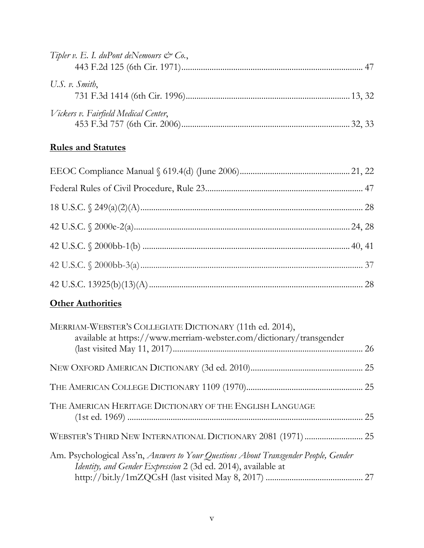| Tipler v. E. I. duPont deNemours $\mathcal{Q}^*$ Co., |  |
|-------------------------------------------------------|--|
|                                                       |  |
| U.S. $v$ . Smith,                                     |  |
| Vickers v. Fairfield Medical Center,                  |  |

## **Rules and Statutes**

## **Other Authorities**

| MERRIAM-WEBSTER'S COLLEGIATE DICTIONARY (11th ed. 2014),<br>available at https://www.merriam-webster.com/dictionary/transgender                      |  |
|------------------------------------------------------------------------------------------------------------------------------------------------------|--|
|                                                                                                                                                      |  |
|                                                                                                                                                      |  |
|                                                                                                                                                      |  |
| THE AMERICAN HERITAGE DICTIONARY OF THE ENGLISH LANGUAGE                                                                                             |  |
|                                                                                                                                                      |  |
|                                                                                                                                                      |  |
| Am. Psychological Ass'n, Answers to Your Questions About Transgender People, Gender<br>Identity, and Gender Expression 2 (3d ed. 2014), available at |  |
|                                                                                                                                                      |  |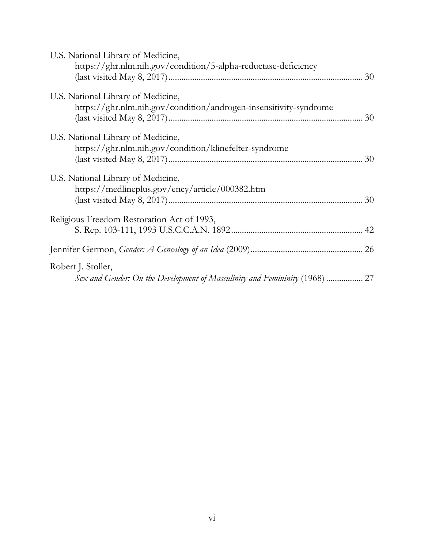| U.S. National Library of Medicine,<br>https://ghr.nlm.nih.gov/condition/5-alpha-reductase-deficiency    |  |
|---------------------------------------------------------------------------------------------------------|--|
| U.S. National Library of Medicine,<br>https://ghr.nlm.nih.gov/condition/androgen-insensitivity-syndrome |  |
| U.S. National Library of Medicine,<br>https://ghr.nlm.nih.gov/condition/klinefelter-syndrome            |  |
| U.S. National Library of Medicine,<br>https://medlineplus.gov/ency/article/000382.htm                   |  |
| Religious Freedom Restoration Act of 1993,                                                              |  |
|                                                                                                         |  |
| Robert J. Stoller,<br>Sex and Gender: On the Development of Masculinity and Femininity (1968)  27       |  |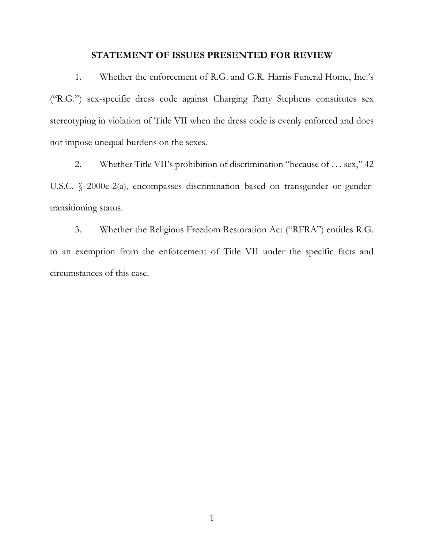#### **STATEMENT OF ISSUES PRESENTED FOR REVIEW**

<span id="page-8-0"></span>1. Whether the enforcement of R.G. and G.R. Harris Funeral Home, Inc.'s ("R.G.") sex-specific dress code against Charging Party Stephens constitutes sex stereotyping in violation of Title VII when the dress code is evenly enforced and does not impose unequal burdens on the sexes.

2. Whether Title VII's prohibition of discrimination "because of . . . sex," 42 U.S.C. § 2000e-2(a), encompasses discrimination based on transgender or gendertransitioning status.

3. Whether the Religious Freedom Restoration Act ("RFRA") entitles R.G. to an exemption from the enforcement of Title VII under the specific facts and circumstances of this case.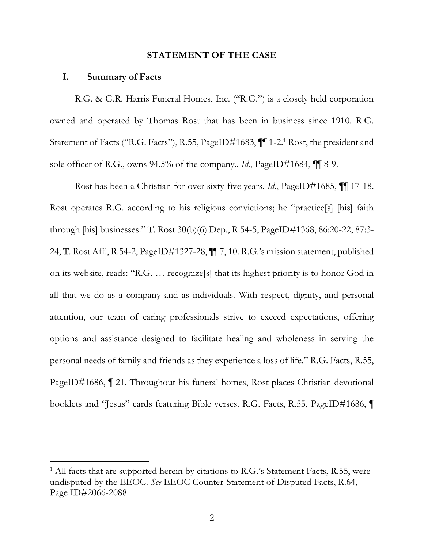#### **STATEMENT OF THE CASE**

#### <span id="page-9-1"></span><span id="page-9-0"></span>**I. Summary of Facts**

 $\overline{a}$ 

R.G. & G.R. Harris Funeral Homes, Inc. ("R.G.") is a closely held corporation owned and operated by Thomas Rost that has been in business since 1910. R.G. Statement of Facts ("R.G. Facts"), R.55, PageID#1683,  $\P\P$  1-2.<sup>1</sup> Rost, the president and sole officer of R.G., owns 94.5% of the company.. *Id.*, PageID#1684, ¶¶ 8-9.

Rost has been a Christian for over sixty-five years. *Id.*, PageID#1685, ¶¶ 17-18. Rost operates R.G. according to his religious convictions; he "practice[s] [his] faith through [his] businesses." T. Rost 30(b)(6) Dep., R.54-5, PageID#1368, 86:20-22, 87:3- 24; T. Rost Aff., R.54-2, PageID#1327-28, ¶¶ 7, 10. R.G.'s mission statement, published on its website, reads: "R.G. … recognize[s] that its highest priority is to honor God in all that we do as a company and as individuals. With respect, dignity, and personal attention, our team of caring professionals strive to exceed expectations, offering options and assistance designed to facilitate healing and wholeness in serving the personal needs of family and friends as they experience a loss of life." R.G. Facts, R.55, PageID#1686, ¶ 21. Throughout his funeral homes, Rost places Christian devotional booklets and "Jesus" cards featuring Bible verses. R.G. Facts, R.55, PageID#1686, ¶

<sup>&</sup>lt;sup>1</sup> All facts that are supported herein by citations to R.G.'s Statement Facts, R.55, were undisputed by the EEOC. *See* EEOC Counter-Statement of Disputed Facts, R.64, Page ID#2066-2088.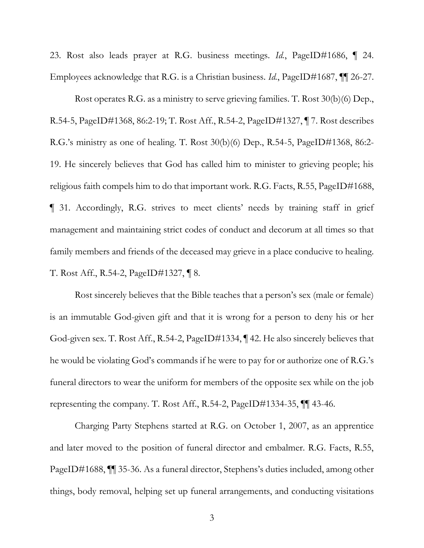23. Rost also leads prayer at R.G. business meetings. *Id.*, PageID#1686, ¶ 24. Employees acknowledge that R.G. is a Christian business. *Id.*, PageID#1687,  $\P$  26-27.

Rost operates R.G. as a ministry to serve grieving families. T. Rost 30(b)(6) Dep., R.54-5, PageID#1368, 86:2-19; T. Rost Aff., R.54-2, PageID#1327, ¶ 7. Rost describes R.G.'s ministry as one of healing. T. Rost 30(b)(6) Dep., R.54-5, PageID#1368, 86:2- 19. He sincerely believes that God has called him to minister to grieving people; his religious faith compels him to do that important work. R.G. Facts, R.55, PageID#1688, ¶ 31. Accordingly, R.G. strives to meet clients' needs by training staff in grief management and maintaining strict codes of conduct and decorum at all times so that family members and friends of the deceased may grieve in a place conducive to healing. T. Rost Aff., R.54-2, PageID#1327, ¶ 8.

Rost sincerely believes that the Bible teaches that a person's sex (male or female) is an immutable God-given gift and that it is wrong for a person to deny his or her God-given sex. T. Rost Aff., R.54-2, PageID#1334, ¶ 42. He also sincerely believes that he would be violating God's commands if he were to pay for or authorize one of R.G.'s funeral directors to wear the uniform for members of the opposite sex while on the job representing the company. T. Rost Aff., R.54-2, PageID#1334-35, ¶¶ 43-46.

Charging Party Stephens started at R.G. on October 1, 2007, as an apprentice and later moved to the position of funeral director and embalmer. R.G. Facts, R.55, PageID#1688, ¶¶ 35-36. As a funeral director, Stephens's duties included, among other things, body removal, helping set up funeral arrangements, and conducting visitations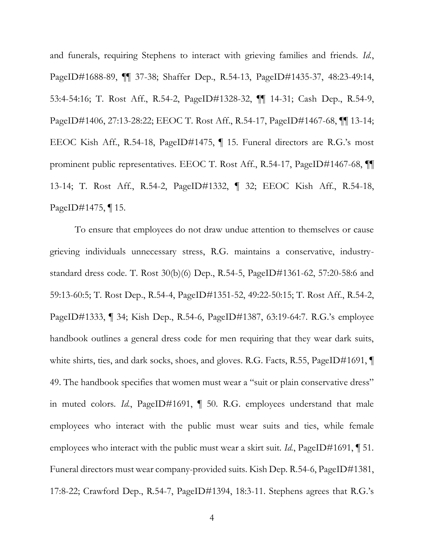and funerals, requiring Stephens to interact with grieving families and friends. *Id.*, PageID#1688-89, ¶¶ 37-38; Shaffer Dep., R.54-13, PageID#1435-37, 48:23-49:14, 53:4-54:16; T. Rost Aff., R.54-2, PageID#1328-32, ¶¶ 14-31; Cash Dep., R.54-9, PageID#1406, 27:13-28:22; EEOC T. Rost Aff., R.54-17, PageID#1467-68, ¶¶ 13-14; EEOC Kish Aff., R.54-18, PageID#1475, ¶ 15. Funeral directors are R.G.'s most prominent public representatives. EEOC T. Rost Aff., R.54-17, PageID#1467-68, ¶¶ 13-14; T. Rost Aff., R.54-2, PageID#1332, ¶ 32; EEOC Kish Aff., R.54-18, PageID#1475, ¶ 15.

To ensure that employees do not draw undue attention to themselves or cause grieving individuals unnecessary stress, R.G. maintains a conservative, industrystandard dress code. T. Rost 30(b)(6) Dep., R.54-5, PageID#1361-62, 57:20-58:6 and 59:13-60:5; T. Rost Dep., R.54-4, PageID#1351-52, 49:22-50:15; T. Rost Aff., R.54-2, PageID#1333, ¶ 34; Kish Dep., R.54-6, PageID#1387, 63:19-64:7. R.G.'s employee handbook outlines a general dress code for men requiring that they wear dark suits, white shirts, ties, and dark socks, shoes, and gloves. R.G. Facts, R.55, PageID#1691,  $\P$ 49. The handbook specifies that women must wear a "suit or plain conservative dress" in muted colors. *Id.*, PageID#1691, ¶ 50. R.G. employees understand that male employees who interact with the public must wear suits and ties, while female employees who interact with the public must wear a skirt suit. *Id.*, PageID#1691, 151. Funeral directors must wear company-provided suits. Kish Dep. R.54-6, PageID#1381, 17:8-22; Crawford Dep., R.54-7, PageID#1394, 18:3-11. Stephens agrees that R.G.'s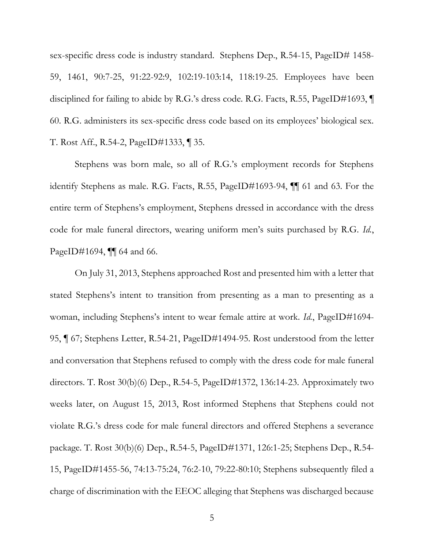sex-specific dress code is industry standard. Stephens Dep., R.54-15, PageID# 1458- 59, 1461, 90:7-25, 91:22-92:9, 102:19-103:14, 118:19-25. Employees have been disciplined for failing to abide by R.G.'s dress code. R.G. Facts, R.55, PageID#1693, ¶ 60. R.G. administers its sex-specific dress code based on its employees' biological sex. T. Rost Aff., R.54-2, PageID#1333, ¶ 35.

Stephens was born male, so all of R.G.'s employment records for Stephens identify Stephens as male. R.G. Facts, R.55, PageID#1693-94, ¶¶ 61 and 63. For the entire term of Stephens's employment, Stephens dressed in accordance with the dress code for male funeral directors, wearing uniform men's suits purchased by R.G. *Id.*, PageID#1694, **[1]** 64 and 66.

On July 31, 2013, Stephens approached Rost and presented him with a letter that stated Stephens's intent to transition from presenting as a man to presenting as a woman, including Stephens's intent to wear female attire at work. *Id.*, PageID#1694-95, ¶ 67; Stephens Letter, R.54-21, PageID#1494-95. Rost understood from the letter and conversation that Stephens refused to comply with the dress code for male funeral directors. T. Rost 30(b)(6) Dep., R.54-5, PageID#1372, 136:14-23. Approximately two weeks later, on August 15, 2013, Rost informed Stephens that Stephens could not violate R.G.'s dress code for male funeral directors and offered Stephens a severance package. T. Rost 30(b)(6) Dep., R.54-5, PageID#1371, 126:1-25; Stephens Dep., R.54- 15, PageID#1455-56, 74:13-75:24, 76:2-10, 79:22-80:10; Stephens subsequently filed a charge of discrimination with the EEOC alleging that Stephens was discharged because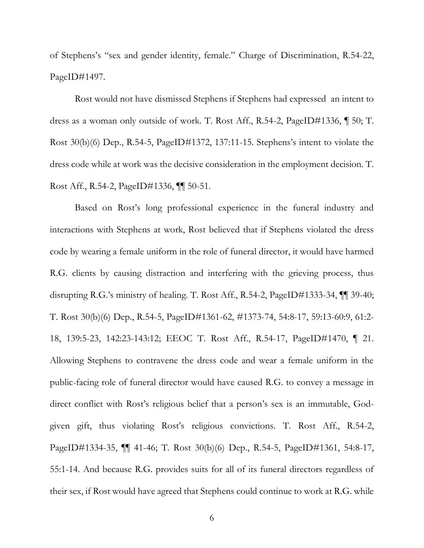of Stephens's "sex and gender identity, female." Charge of Discrimination, R.54-22, PageID#1497.

Rost would not have dismissed Stephens if Stephens had expressed an intent to dress as a woman only outside of work. T. Rost Aff., R.54-2, PageID#1336, ¶ 50; T. Rost 30(b)(6) Dep., R.54-5, PageID#1372, 137:11-15. Stephens's intent to violate the dress code while at work was the decisive consideration in the employment decision. T. Rost Aff., R.54-2, PageID#1336, ¶¶ 50-51.

Based on Rost's long professional experience in the funeral industry and interactions with Stephens at work, Rost believed that if Stephens violated the dress code by wearing a female uniform in the role of funeral director, it would have harmed R.G. clients by causing distraction and interfering with the grieving process, thus disrupting R.G.'s ministry of healing. T. Rost Aff., R.54-2, PageID#1333-34, ¶¶ 39-40; T. Rost 30(b)(6) Dep., R.54-5, PageID#1361-62, #1373-74, 54:8-17, 59:13-60:9, 61:2- 18, 139:5-23, 142:23-143:12; EEOC T. Rost Aff., R.54-17, PageID#1470, ¶ 21. Allowing Stephens to contravene the dress code and wear a female uniform in the public-facing role of funeral director would have caused R.G. to convey a message in direct conflict with Rost's religious belief that a person's sex is an immutable, Godgiven gift, thus violating Rost's religious convictions. T. Rost Aff., R.54-2, PageID#1334-35, ¶¶ 41-46; T. Rost 30(b)(6) Dep., R.54-5, PageID#1361, 54:8-17, 55:1-14. And because R.G. provides suits for all of its funeral directors regardless of their sex, if Rost would have agreed that Stephens could continue to work at R.G. while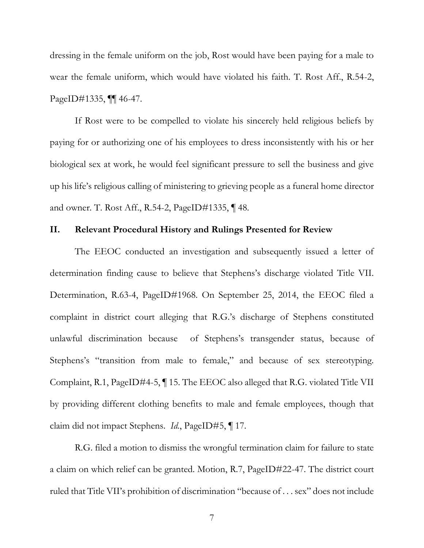dressing in the female uniform on the job, Rost would have been paying for a male to wear the female uniform, which would have violated his faith. T. Rost Aff., R.54-2, PageID#1335, ¶¶ 46-47.

If Rost were to be compelled to violate his sincerely held religious beliefs by paying for or authorizing one of his employees to dress inconsistently with his or her biological sex at work, he would feel significant pressure to sell the business and give up his life's religious calling of ministering to grieving people as a funeral home director and owner. T. Rost Aff., R.54-2, PageID#1335, ¶ 48.

#### <span id="page-14-0"></span>**II. Relevant Procedural History and Rulings Presented for Review**

The EEOC conducted an investigation and subsequently issued a letter of determination finding cause to believe that Stephens's discharge violated Title VII. Determination, R.63-4, PageID#1968. On September 25, 2014, the EEOC filed a complaint in district court alleging that R.G.'s discharge of Stephens constituted unlawful discrimination because of Stephens's transgender status, because of Stephens's "transition from male to female," and because of sex stereotyping. Complaint, R.1, PageID#4-5, ¶ 15. The EEOC also alleged that R.G. violated Title VII by providing different clothing benefits to male and female employees, though that claim did not impact Stephens. *Id.*, PageID#5, ¶ 17.

R.G. filed a motion to dismiss the wrongful termination claim for failure to state a claim on which relief can be granted. Motion, R.7, PageID#22-47. The district court ruled that Title VII's prohibition of discrimination "because of . . . sex" does not include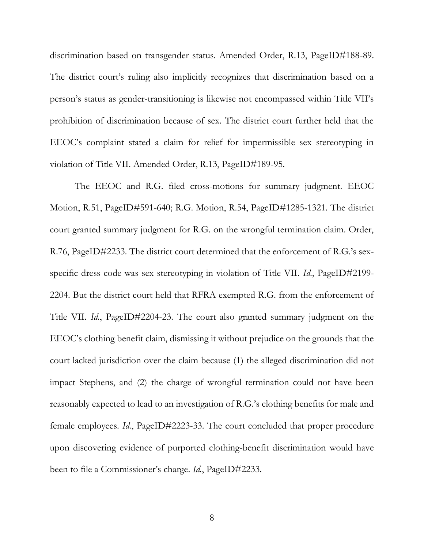discrimination based on transgender status. Amended Order, R.13, PageID#188-89. The district court's ruling also implicitly recognizes that discrimination based on a person's status as gender-transitioning is likewise not encompassed within Title VII's prohibition of discrimination because of sex. The district court further held that the EEOC's complaint stated a claim for relief for impermissible sex stereotyping in violation of Title VII. Amended Order, R.13, PageID#189-95.

The EEOC and R.G. filed cross-motions for summary judgment. EEOC Motion, R.51, PageID#591-640; R.G. Motion, R.54, PageID#1285-1321. The district court granted summary judgment for R.G. on the wrongful termination claim. Order, R.76, PageID#2233. The district court determined that the enforcement of R.G.'s sexspecific dress code was sex stereotyping in violation of Title VII. *Id.*, PageID#2199- 2204. But the district court held that RFRA exempted R.G. from the enforcement of Title VII. *Id.*, PageID#2204-23. The court also granted summary judgment on the EEOC's clothing benefit claim, dismissing it without prejudice on the grounds that the court lacked jurisdiction over the claim because (1) the alleged discrimination did not impact Stephens, and (2) the charge of wrongful termination could not have been reasonably expected to lead to an investigation of R.G.'s clothing benefits for male and female employees. *Id.*, PageID#2223-33. The court concluded that proper procedure upon discovering evidence of purported clothing-benefit discrimination would have been to file a Commissioner's charge. *Id.*, PageID#2233.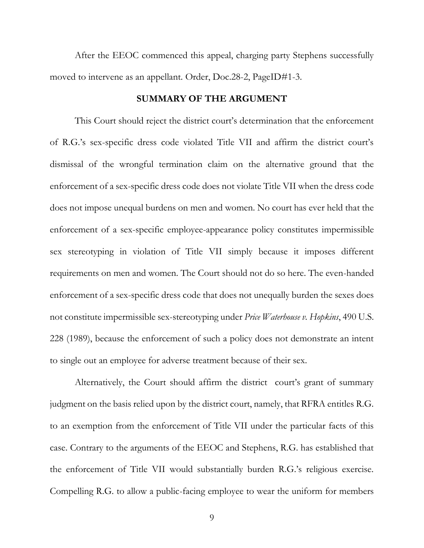After the EEOC commenced this appeal, charging party Stephens successfully moved to intervene as an appellant. Order, Doc.28-2, PageID#1-3.

#### **SUMMARY OF THE ARGUMENT**

<span id="page-16-0"></span>This Court should reject the district court's determination that the enforcement of R.G.'s sex-specific dress code violated Title VII and affirm the district court's dismissal of the wrongful termination claim on the alternative ground that the enforcement of a sex-specific dress code does not violate Title VII when the dress code does not impose unequal burdens on men and women. No court has ever held that the enforcement of a sex-specific employee-appearance policy constitutes impermissible sex stereotyping in violation of Title VII simply because it imposes different requirements on men and women. The Court should not do so here. The even-handed enforcement of a sex-specific dress code that does not unequally burden the sexes does not constitute impermissible sex-stereotyping under *Price Waterhouse v. Hopkins*, 490 U.S. 228 (1989), because the enforcement of such a policy does not demonstrate an intent to single out an employee for adverse treatment because of their sex.

Alternatively, the Court should affirm the district court's grant of summary judgment on the basis relied upon by the district court, namely, that RFRA entitles R.G. to an exemption from the enforcement of Title VII under the particular facts of this case. Contrary to the arguments of the EEOC and Stephens, R.G. has established that the enforcement of Title VII would substantially burden R.G.'s religious exercise. Compelling R.G. to allow a public-facing employee to wear the uniform for members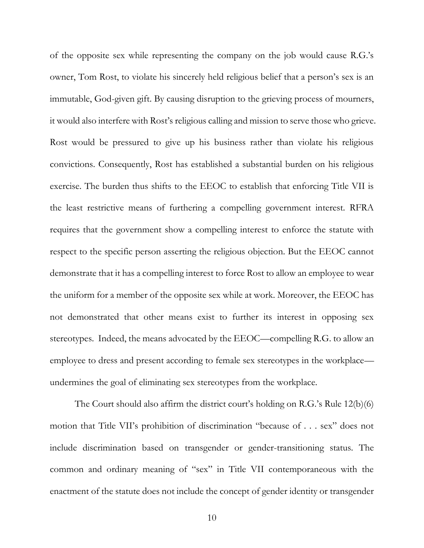of the opposite sex while representing the company on the job would cause R.G.'s owner, Tom Rost, to violate his sincerely held religious belief that a person's sex is an immutable, God-given gift. By causing disruption to the grieving process of mourners, it would also interfere with Rost's religious calling and mission to serve those who grieve. Rost would be pressured to give up his business rather than violate his religious convictions. Consequently, Rost has established a substantial burden on his religious exercise. The burden thus shifts to the EEOC to establish that enforcing Title VII is the least restrictive means of furthering a compelling government interest. RFRA requires that the government show a compelling interest to enforce the statute with respect to the specific person asserting the religious objection. But the EEOC cannot demonstrate that it has a compelling interest to force Rost to allow an employee to wear the uniform for a member of the opposite sex while at work. Moreover, the EEOC has not demonstrated that other means exist to further its interest in opposing sex stereotypes. Indeed, the means advocated by the EEOC—compelling R.G. to allow an employee to dress and present according to female sex stereotypes in the workplace undermines the goal of eliminating sex stereotypes from the workplace.

The Court should also affirm the district court's holding on R.G.'s Rule 12(b)(6) motion that Title VII's prohibition of discrimination "because of . . . sex" does not include discrimination based on transgender or gender-transitioning status. The common and ordinary meaning of "sex" in Title VII contemporaneous with the enactment of the statute does not include the concept of gender identity or transgender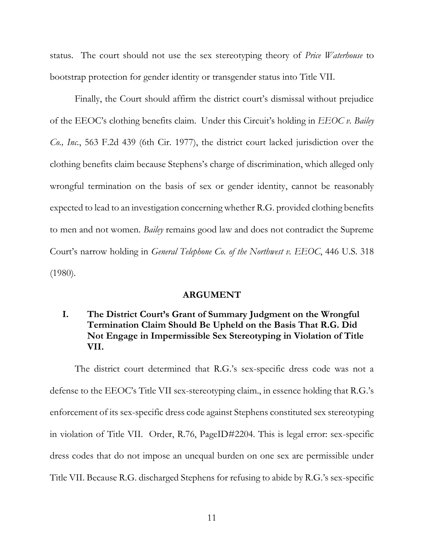status. The court should not use the sex stereotyping theory of *Price Waterhouse* to bootstrap protection for gender identity or transgender status into Title VII.

Finally, the Court should affirm the district court's dismissal without prejudice of the EEOC's clothing benefits claim. Under this Circuit's holding in *EEOC v. Bailey Co., Inc.*, 563 F.2d 439 (6th Cir. 1977), the district court lacked jurisdiction over the clothing benefits claim because Stephens's charge of discrimination, which alleged only wrongful termination on the basis of sex or gender identity, cannot be reasonably expected to lead to an investigation concerning whether R.G. provided clothing benefits to men and not women. *Bailey* remains good law and does not contradict the Supreme Court's narrow holding in *General Telephone Co. of the Northwest v. EEOC*, 446 U.S. 318 (1980).

#### **ARGUMENT**

### <span id="page-18-1"></span><span id="page-18-0"></span>**I. The District Court's Grant of Summary Judgment on the Wrongful Termination Claim Should Be Upheld on the Basis That R.G. Did Not Engage in Impermissible Sex Stereotyping in Violation of Title VII.**

The district court determined that R.G.'s sex-specific dress code was not a defense to the EEOC's Title VII sex-stereotyping claim., in essence holding that R.G.'s enforcement of its sex-specific dress code against Stephens constituted sex stereotyping in violation of Title VII. Order, R.76, PageID#2204. This is legal error: sex-specific dress codes that do not impose an unequal burden on one sex are permissible under Title VII. Because R.G. discharged Stephens for refusing to abide by R.G.'s sex-specific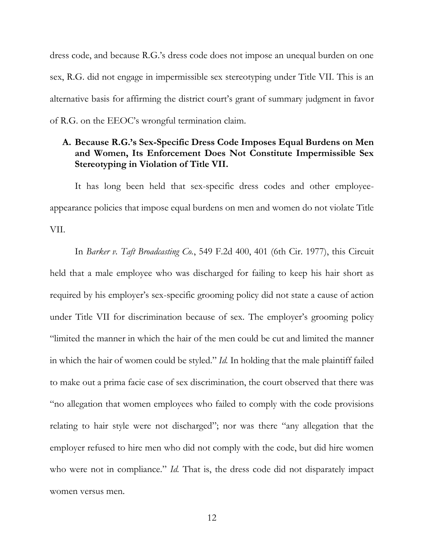dress code, and because R.G.'s dress code does not impose an unequal burden on one sex, R.G. did not engage in impermissible sex stereotyping under Title VII. This is an alternative basis for affirming the district court's grant of summary judgment in favor of R.G. on the EEOC's wrongful termination claim.

### <span id="page-19-0"></span>**A. Because R.G.'s Sex-Specific Dress Code Imposes Equal Burdens on Men and Women, Its Enforcement Does Not Constitute Impermissible Sex Stereotyping in Violation of Title VII.**

It has long been held that sex-specific dress codes and other employeeappearance policies that impose equal burdens on men and women do not violate Title VII.

In *Barker v. Taft Broadcasting Co.*, 549 F.2d 400, 401 (6th Cir. 1977), this Circuit held that a male employee who was discharged for failing to keep his hair short as required by his employer's sex-specific grooming policy did not state a cause of action under Title VII for discrimination because of sex. The employer's grooming policy "limited the manner in which the hair of the men could be cut and limited the manner in which the hair of women could be styled." *Id.* In holding that the male plaintiff failed to make out a prima facie case of sex discrimination, the court observed that there was "no allegation that women employees who failed to comply with the code provisions relating to hair style were not discharged"; nor was there "any allegation that the employer refused to hire men who did not comply with the code, but did hire women who were not in compliance." *Id*. That is, the dress code did not disparately impact women versus men.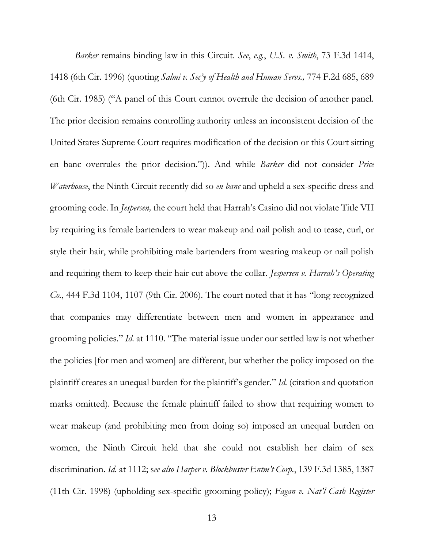*Barker* remains binding law in this Circuit. *See*, *e.g.*, *U.S. v. Smith*, 73 F.3d 1414, 1418 (6th Cir. 1996) (quoting *Salmi v. Sec'y of Health and Human Servs.,* 774 F.2d 685, 689 (6th Cir. 1985) ("A panel of this Court cannot overrule the decision of another panel. The prior decision remains controlling authority unless an inconsistent decision of the United States Supreme Court requires modification of the decision or this Court sitting en banc overrules the prior decision.")). And while *Barker* did not consider *Price Waterhouse*, the Ninth Circuit recently did so *en banc* and upheld a sex-specific dress and grooming code. In *Jespersen,* the court held that Harrah's Casino did not violate Title VII by requiring its female bartenders to wear makeup and nail polish and to tease, curl, or style their hair, while prohibiting male bartenders from wearing makeup or nail polish and requiring them to keep their hair cut above the collar. *Jespersen v. Harrah's Operating Co.*, 444 F.3d 1104, 1107 (9th Cir. 2006). The court noted that it has "long recognized that companies may differentiate between men and women in appearance and grooming policies." *Id.* at 1110. "The material issue under our settled law is not whether the policies [for men and women] are different, but whether the policy imposed on the plaintiff creates an unequal burden for the plaintiff's gender." *Id.* (citation and quotation marks omitted). Because the female plaintiff failed to show that requiring women to wear makeup (and prohibiting men from doing so) imposed an unequal burden on women, the Ninth Circuit held that she could not establish her claim of sex discrimination. *Id.* at 1112; s*ee also Harper v. Blockbuster Entm't Corp.*, 139 F.3d 1385, 1387 (11th Cir. 1998) (upholding sex-specific grooming policy); *Fagan v. Nat'l Cash Register*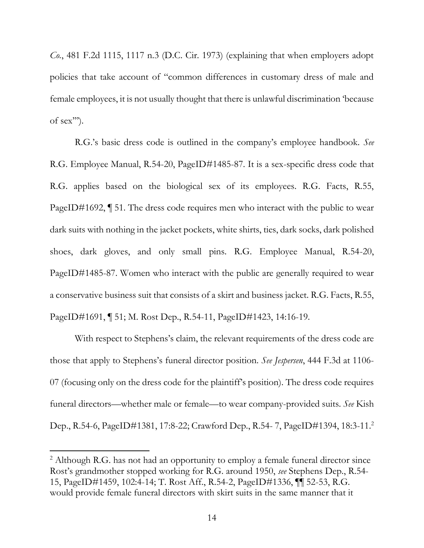*Co.*, 481 F.2d 1115, 1117 n.3 (D.C. Cir. 1973) (explaining that when employers adopt policies that take account of "common differences in customary dress of male and female employees, it is not usually thought that there is unlawful discrimination 'because of sex''').

R.G.'s basic dress code is outlined in the company's employee handbook. *See*  R.G. Employee Manual, R.54-20, PageID#1485-87. It is a sex-specific dress code that R.G. applies based on the biological sex of its employees. R.G. Facts, R.55, PageID#1692, ¶ 51. The dress code requires men who interact with the public to wear dark suits with nothing in the jacket pockets, white shirts, ties, dark socks, dark polished shoes, dark gloves, and only small pins. R.G. Employee Manual, R.54-20, PageID#1485-87. Women who interact with the public are generally required to wear a conservative business suit that consists of a skirt and business jacket. R.G. Facts, R.55, PageID#1691, ¶ 51; M. Rost Dep., R.54-11, PageID#1423, 14:16-19.

With respect to Stephens's claim, the relevant requirements of the dress code are those that apply to Stephens's funeral director position. *See Jespersen*, 444 F.3d at 1106- 07 (focusing only on the dress code for the plaintiff's position). The dress code requires funeral directors—whether male or female—to wear company-provided suits. *See* Kish Dep., R.54-6, PageID#1381, 17:8-22; Crawford Dep., R.54- 7, PageID#1394, 18:3-11.<sup>2</sup>

l

<sup>&</sup>lt;sup>2</sup> Although R.G. has not had an opportunity to employ a female funeral director since Rost's grandmother stopped working for R.G. around 1950, *see* Stephens Dep., R.54- 15, PageID#1459, 102:4-14; T. Rost Aff., R.54-2, PageID#1336, ¶¶ 52-53, R.G. would provide female funeral directors with skirt suits in the same manner that it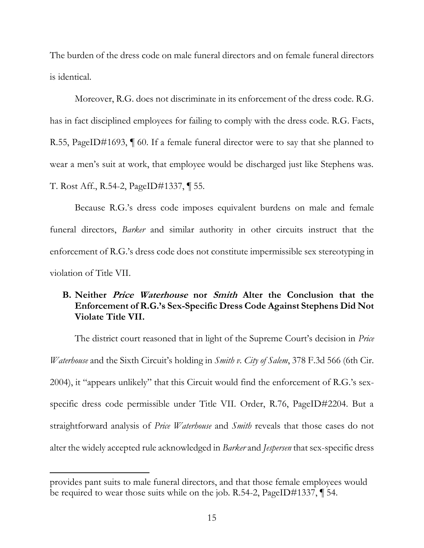The burden of the dress code on male funeral directors and on female funeral directors is identical.

Moreover, R.G. does not discriminate in its enforcement of the dress code. R.G. has in fact disciplined employees for failing to comply with the dress code. R.G. Facts, R.55, PageID#1693, ¶ 60. If a female funeral director were to say that she planned to wear a men's suit at work, that employee would be discharged just like Stephens was. T. Rost Aff., R.54-2, PageID#1337, ¶ 55.

Because R.G.'s dress code imposes equivalent burdens on male and female funeral directors, *Barker* and similar authority in other circuits instruct that the enforcement of R.G.'s dress code does not constitute impermissible sex stereotyping in violation of Title VII.

### <span id="page-22-0"></span>**B. Neither Price Waterhouse nor Smith Alter the Conclusion that the Enforcement of R.G.'s Sex-Specific Dress Code Against Stephens Did Not Violate Title VII.**

The district court reasoned that in light of the Supreme Court's decision in *Price Waterhouse* and the Sixth Circuit's holding in *Smith v. City of Salem*, 378 F.3d 566 (6th Cir. 2004), it "appears unlikely" that this Circuit would find the enforcement of R.G.'s sexspecific dress code permissible under Title VII. Order, R.76, PageID#2204. But a straightforward analysis of *Price Waterhouse* and *Smith* reveals that those cases do not alter the widely accepted rule acknowledged in *Barker* and *Jespersen* that sex-specific dress

 $\overline{\phantom{a}}$ 

provides pant suits to male funeral directors, and that those female employees would be required to wear those suits while on the job. R.54-2, PageID#1337, ¶ 54.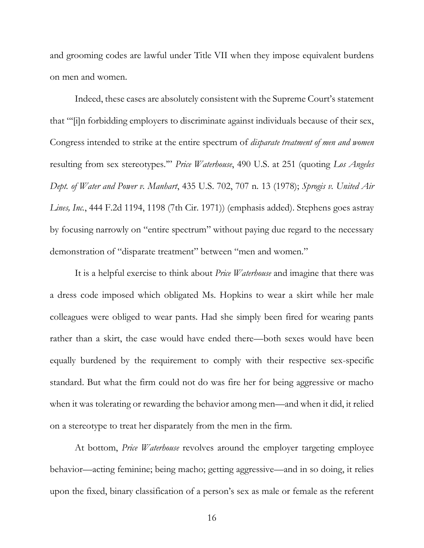and grooming codes are lawful under Title VII when they impose equivalent burdens on men and women.

Indeed, these cases are absolutely consistent with the Supreme Court's statement that "'[i]n forbidding employers to discriminate against individuals because of their sex, Congress intended to strike at the entire spectrum of *disparate treatment of men and women* resulting from sex stereotypes.'" *Price Waterhouse*, 490 U.S. at 251 (quoting *Los Angeles Dept. of Water and Power v. Manhart*, 435 U.S. 702, 707 n. 13 (1978); *Sprogis v. United Air Lines, Inc.*, 444 F.2d 1194, 1198 (7th Cir. 1971)) (emphasis added). Stephens goes astray by focusing narrowly on "entire spectrum" without paying due regard to the necessary demonstration of "disparate treatment" between "men and women."

It is a helpful exercise to think about *Price Waterhouse* and imagine that there was a dress code imposed which obligated Ms. Hopkins to wear a skirt while her male colleagues were obliged to wear pants. Had she simply been fired for wearing pants rather than a skirt, the case would have ended there—both sexes would have been equally burdened by the requirement to comply with their respective sex-specific standard. But what the firm could not do was fire her for being aggressive or macho when it was tolerating or rewarding the behavior among men—and when it did, it relied on a stereotype to treat her disparately from the men in the firm.

At bottom, *Price Waterhouse* revolves around the employer targeting employee behavior—acting feminine; being macho; getting aggressive—and in so doing, it relies upon the fixed, binary classification of a person's sex as male or female as the referent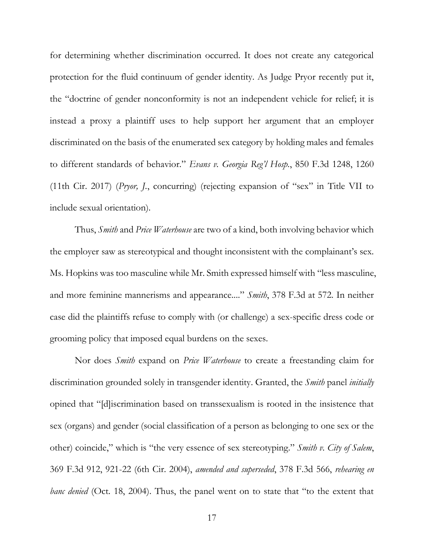for determining whether discrimination occurred. It does not create any categorical protection for the fluid continuum of gender identity. As Judge Pryor recently put it, the "doctrine of gender nonconformity is not an independent vehicle for relief; it is instead a proxy a plaintiff uses to help support her argument that an employer discriminated on the basis of the enumerated sex category by holding males and females to different standards of behavior." *Evans v. Georgia Reg'l Hosp.*, 850 F.3d 1248, 1260 (11th Cir. 2017) (*Pryor, J.*, concurring) (rejecting expansion of "sex" in Title VII to include sexual orientation).

Thus, *Smith* and *Price Waterhouse* are two of a kind, both involving behavior which the employer saw as stereotypical and thought inconsistent with the complainant's sex. Ms. Hopkins was too masculine while Mr. Smith expressed himself with "less masculine, and more feminine mannerisms and appearance...." *Smith*, 378 F.3d at 572. In neither case did the plaintiffs refuse to comply with (or challenge) a sex-specific dress code or grooming policy that imposed equal burdens on the sexes.

Nor does *Smith* expand on *Price Waterhouse* to create a freestanding claim for discrimination grounded solely in transgender identity. Granted, the *Smith* panel *initially* opined that "[d]iscrimination based on transsexualism is rooted in the insistence that sex (organs) and gender (social classification of a person as belonging to one sex or the other) coincide," which is "the very essence of sex stereotyping." *Smith v. City of Salem*, 369 F.3d 912, 921-22 (6th Cir. 2004), *amended and superseded*, 378 F.3d 566, *rehearing en banc denied* (Oct. 18, 2004). Thus, the panel went on to state that "to the extent that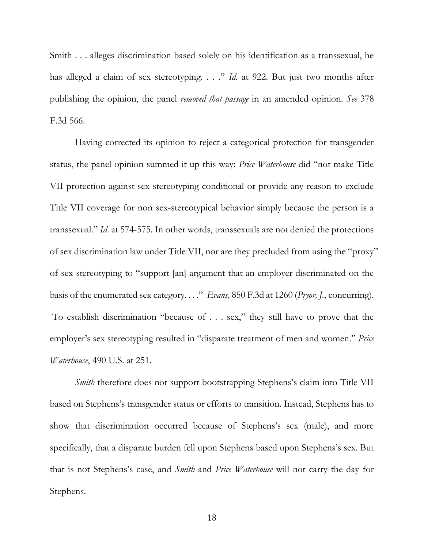Smith . . . alleges discrimination based solely on his identification as a transsexual, he has alleged a claim of sex stereotyping. . . ." *Id.* at 922. But just two months after publishing the opinion, the panel *removed that passage* in an amended opinion. *See* 378 F.3d 566.

Having corrected its opinion to reject a categorical protection for transgender status, the panel opinion summed it up this way: *Price Waterhouse* did "not make Title VII protection against sex stereotyping conditional or provide any reason to exclude Title VII coverage for non sex-stereotypical behavior simply because the person is a transsexual." *Id*. at 574-575. In other words, transsexuals are not denied the protections of sex discrimination law under Title VII, nor are they precluded from using the "proxy" of sex stereotyping to "support [an] argument that an employer discriminated on the basis of the enumerated sex category. . . ." *Evans,* 850 F.3d at 1260 (*Pryor, J.*, concurring). To establish discrimination "because of . . . sex," they still have to prove that the employer's sex stereotyping resulted in "disparate treatment of men and women." *Price Waterhouse*, 490 U.S. at 251.

*Smith* therefore does not support bootstrapping Stephens's claim into Title VII based on Stephens's transgender status or efforts to transition. Instead, Stephens has to show that discrimination occurred because of Stephens's sex (male), and more specifically, that a disparate burden fell upon Stephens based upon Stephens's sex. But that is not Stephens's case, and *Smith* and *Price Waterhouse* will not carry the day for Stephens.

18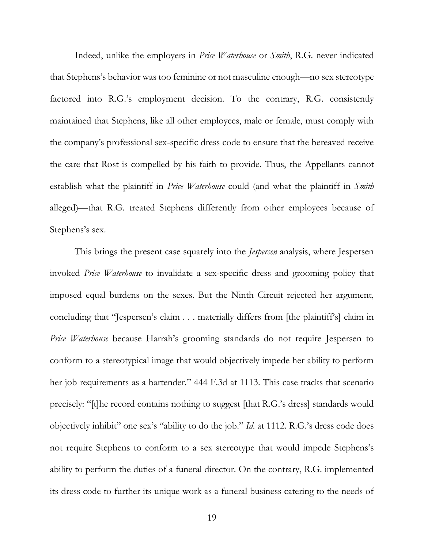Indeed, unlike the employers in *Price Waterhouse* or *Smith*, R.G. never indicated that Stephens's behavior was too feminine or not masculine enough—no sex stereotype factored into R.G.'s employment decision. To the contrary, R.G. consistently maintained that Stephens, like all other employees, male or female, must comply with the company's professional sex-specific dress code to ensure that the bereaved receive the care that Rost is compelled by his faith to provide. Thus, the Appellants cannot establish what the plaintiff in *Price Waterhouse* could (and what the plaintiff in *Smith* alleged)—that R.G. treated Stephens differently from other employees because of Stephens's sex.

This brings the present case squarely into the *Jespersen* analysis, where Jespersen invoked *Price Waterhouse* to invalidate a sex-specific dress and grooming policy that imposed equal burdens on the sexes. But the Ninth Circuit rejected her argument, concluding that "Jespersen's claim . . . materially differs from [the plaintiff's] claim in *Price Waterhouse* because Harrah's grooming standards do not require Jespersen to conform to a stereotypical image that would objectively impede her ability to perform her job requirements as a bartender." 444 F.3d at 1113. This case tracks that scenario precisely: "[t]he record contains nothing to suggest [that R.G.'s dress] standards would objectively inhibit" one sex's "ability to do the job." *Id.* at 1112. R.G.'s dress code does not require Stephens to conform to a sex stereotype that would impede Stephens's ability to perform the duties of a funeral director. On the contrary, R.G. implemented its dress code to further its unique work as a funeral business catering to the needs of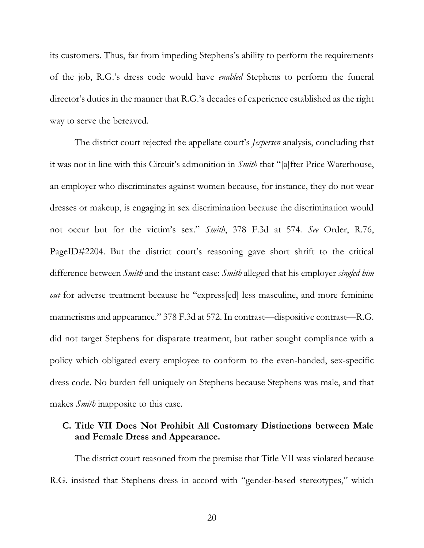its customers. Thus, far from impeding Stephens's ability to perform the requirements of the job, R.G.'s dress code would have *enabled* Stephens to perform the funeral director's duties in the manner that R.G.'s decades of experience established as the right way to serve the bereaved.

The district court rejected the appellate court's *Jespersen* analysis, concluding that it was not in line with this Circuit's admonition in *Smith* that "[a]fter Price Waterhouse, an employer who discriminates against women because, for instance, they do not wear dresses or makeup, is engaging in sex discrimination because the discrimination would not occur but for the victim's sex." *Smith*, 378 F.3d at 574. *See* Order, R.76, PageID#2204. But the district court's reasoning gave short shrift to the critical difference between *Smith* and the instant case: *Smith* alleged that his employer *singled him out* for adverse treatment because he "express[ed] less masculine, and more feminine mannerisms and appearance." 378 F.3d at 572. In contrast—dispositive contrast—R.G. did not target Stephens for disparate treatment, but rather sought compliance with a policy which obligated every employee to conform to the even-handed, sex-specific dress code. No burden fell uniquely on Stephens because Stephens was male, and that makes *Smith* inapposite to this case.

#### <span id="page-27-0"></span>**C. Title VII Does Not Prohibit All Customary Distinctions between Male and Female Dress and Appearance.**

The district court reasoned from the premise that Title VII was violated because R.G. insisted that Stephens dress in accord with "gender-based stereotypes," which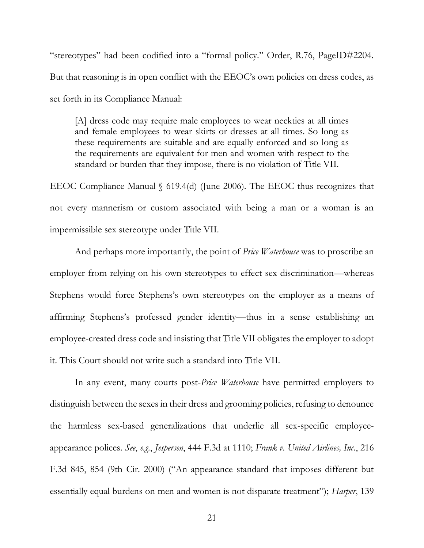"stereotypes" had been codified into a "formal policy." Order, R.76, PageID#2204. But that reasoning is in open conflict with the EEOC's own policies on dress codes, as set forth in its Compliance Manual:

[A] dress code may require male employees to wear neckties at all times and female employees to wear skirts or dresses at all times. So long as these requirements are suitable and are equally enforced and so long as the requirements are equivalent for men and women with respect to the standard or burden that they impose, there is no violation of Title VII.

EEOC Compliance Manual § 619.4(d) (June 2006). The EEOC thus recognizes that not every mannerism or custom associated with being a man or a woman is an impermissible sex stereotype under Title VII.

And perhaps more importantly, the point of *Price Waterhouse* was to proscribe an employer from relying on his own stereotypes to effect sex discrimination—whereas Stephens would force Stephens's own stereotypes on the employer as a means of affirming Stephens's professed gender identity—thus in a sense establishing an employee-created dress code and insisting that Title VII obligates the employer to adopt it. This Court should not write such a standard into Title VII.

In any event, many courts post-*Price Waterhouse* have permitted employers to distinguish between the sexes in their dress and grooming policies, refusing to denounce the harmless sex-based generalizations that underlie all sex-specific employeeappearance polices. *See*, *e.g.*, *Jespersen*, 444 F.3d at 1110; *Frank v. United Airlines, Inc.*, 216 F.3d 845, 854 (9th Cir. 2000) ("An appearance standard that imposes different but essentially equal burdens on men and women is not disparate treatment"); *Harper*, 139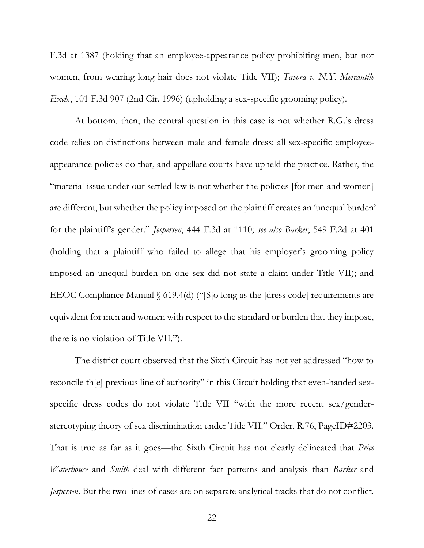F.3d at 1387 (holding that an employee-appearance policy prohibiting men, but not women, from wearing long hair does not violate Title VII); *Tavora v. N.Y. Mercantile Exch.*, 101 F.3d 907 (2nd Cir. 1996) (upholding a sex-specific grooming policy).

At bottom, then, the central question in this case is not whether R.G.'s dress code relies on distinctions between male and female dress: all sex-specific employeeappearance policies do that, and appellate courts have upheld the practice. Rather, the "material issue under our settled law is not whether the policies [for men and women] are different, but whether the policy imposed on the plaintiff creates an 'unequal burden' for the plaintiff's gender." *Jespersen*, 444 F.3d at 1110; *see also Barker*, 549 F.2d at 401 (holding that a plaintiff who failed to allege that his employer's grooming policy imposed an unequal burden on one sex did not state a claim under Title VII); and EEOC Compliance Manual § 619.4(d) ("[S]o long as the [dress code] requirements are equivalent for men and women with respect to the standard or burden that they impose, there is no violation of Title VII.").

The district court observed that the Sixth Circuit has not yet addressed "how to reconcile th[e] previous line of authority" in this Circuit holding that even-handed sexspecific dress codes do not violate Title VII "with the more recent sex/genderstereotyping theory of sex discrimination under Title VII." Order, R.76, PageID#2203. That is true as far as it goes—the Sixth Circuit has not clearly delineated that *Price Waterhouse* and *Smith* deal with different fact patterns and analysis than *Barker* and *Jespersen*. But the two lines of cases are on separate analytical tracks that do not conflict.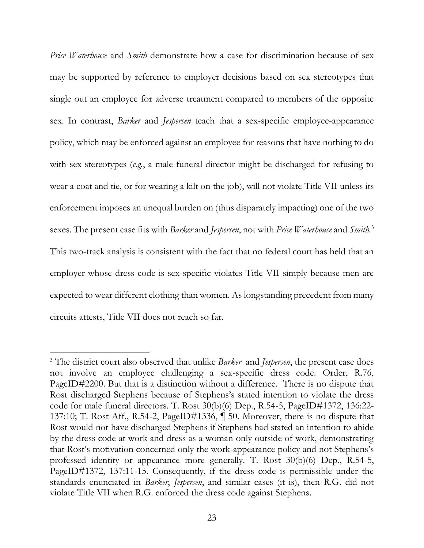*Price Waterhouse* and *Smith* demonstrate how a case for discrimination because of sex may be supported by reference to employer decisions based on sex stereotypes that single out an employee for adverse treatment compared to members of the opposite sex. In contrast, *Barker* and *Jespersen* teach that a sex-specific employee-appearance policy, which may be enforced against an employee for reasons that have nothing to do with sex stereotypes (*e.g.*, a male funeral director might be discharged for refusing to wear a coat and tie, or for wearing a kilt on the job), will not violate Title VII unless its enforcement imposes an unequal burden on (thus disparately impacting) one of the two sexes. The present case fits with *Barker* and *Jespersen*, not with *Price Waterhouse* and *Smith.*<sup>3</sup> This two-track analysis is consistent with the fact that no federal court has held that an employer whose dress code is sex-specific violates Title VII simply because men are expected to wear different clothing than women. As longstanding precedent from many circuits attests, Title VII does not reach so far.

l

<sup>3</sup> The district court also observed that unlike *Barker* and *Jespersen*, the present case does not involve an employee challenging a sex-specific dress code. Order, R.76, PageID#2200. But that is a distinction without a difference. There is no dispute that Rost discharged Stephens because of Stephens's stated intention to violate the dress code for male funeral directors. T. Rost 30(b)(6) Dep., R.54-5, PageID#1372, 136:22- 137:10; T. Rost Aff., R.54-2, PageID#1336, ¶ 50. Moreover, there is no dispute that Rost would not have discharged Stephens if Stephens had stated an intention to abide by the dress code at work and dress as a woman only outside of work, demonstrating that Rost's motivation concerned only the work-appearance policy and not Stephens's professed identity or appearance more generally. T. Rost 30(b)(6) Dep., R.54-5, PageID#1372, 137:11-15. Consequently, if the dress code is permissible under the standards enunciated in *Barker*, *Jespersen*, and similar cases (it is), then R.G. did not violate Title VII when R.G. enforced the dress code against Stephens.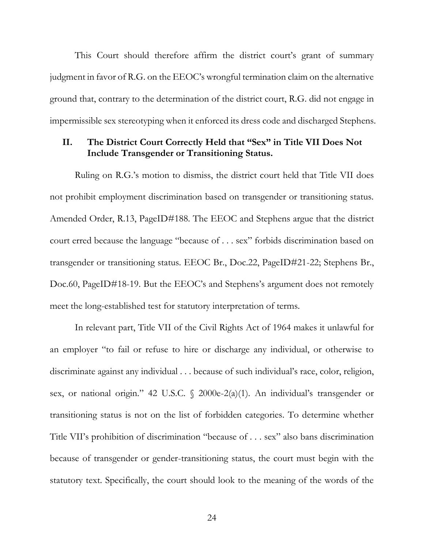This Court should therefore affirm the district court's grant of summary judgment in favor of R.G. on the EEOC's wrongful termination claim on the alternative ground that, contrary to the determination of the district court, R.G. did not engage in impermissible sex stereotyping when it enforced its dress code and discharged Stephens.

### <span id="page-31-0"></span>**II. The District Court Correctly Held that "Sex" in Title VII Does Not Include Transgender or Transitioning Status.**

Ruling on R.G.'s motion to dismiss, the district court held that Title VII does not prohibit employment discrimination based on transgender or transitioning status. Amended Order, R.13, PageID#188. The EEOC and Stephens argue that the district court erred because the language "because of . . . sex" forbids discrimination based on transgender or transitioning status. EEOC Br., Doc.22, PageID#21-22; Stephens Br., Doc.60, PageID#18-19. But the EEOC's and Stephens's argument does not remotely meet the long-established test for statutory interpretation of terms.

In relevant part, Title VII of the Civil Rights Act of 1964 makes it unlawful for an employer "to fail or refuse to hire or discharge any individual, or otherwise to discriminate against any individual . . . because of such individual's race, color, religion, sex, or national origin." 42 U.S.C. § 2000e-2(a)(1). An individual's transgender or transitioning status is not on the list of forbidden categories. To determine whether Title VII's prohibition of discrimination "because of . . . sex" also bans discrimination because of transgender or gender-transitioning status, the court must begin with the statutory text. Specifically, the court should look to the meaning of the words of the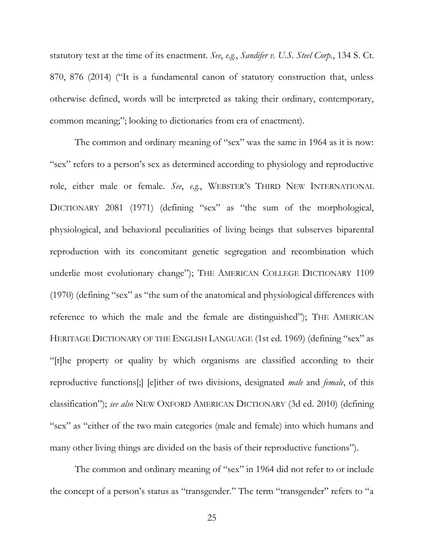statutory text at the time of its enactment. *See*, *e.g.*, *Sandifer v. U.S. Steel Corp.*, 134 S. Ct. 870, 876 (2014) ("It is a fundamental canon of statutory construction that, unless otherwise defined, words will be interpreted as taking their ordinary, contemporary, common meaning;"; looking to dictionaries from era of enactment).

The common and ordinary meaning of "sex" was the same in 1964 as it is now: "sex" refers to a person's sex as determined according to physiology and reproductive role, either male or female. *See*, *e.g.*, WEBSTER'S THIRD NEW INTERNATIONAL DICTIONARY 2081 (1971) (defining "sex" as "the sum of the morphological, physiological, and behavioral peculiarities of living beings that subserves biparental reproduction with its concomitant genetic segregation and recombination which underlie most evolutionary change"); THE AMERICAN COLLEGE DICTIONARY 1109 (1970) (defining "sex" as "the sum of the anatomical and physiological differences with reference to which the male and the female are distinguished"); THE AMERICAN HERITAGE DICTIONARY OF THE ENGLISH LANGUAGE (1st ed. 1969) (defining "sex" as "[t]he property or quality by which organisms are classified according to their reproductive functions[;] [e]ither of two divisions, designated *male* and *female*, of this classification"); *see also* NEW OXFORD AMERICAN DICTIONARY (3d ed. 2010) (defining "sex" as "either of the two main categories (male and female) into which humans and many other living things are divided on the basis of their reproductive functions").

The common and ordinary meaning of "sex" in 1964 did not refer to or include the concept of a person's status as "transgender." The term "transgender" refers to "a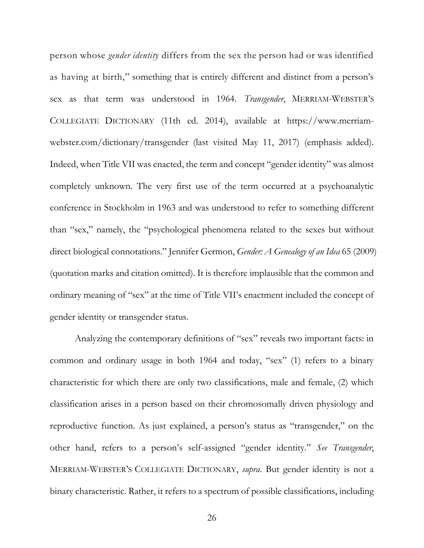person whose *gender identity* differs from the sex the person had or was identified as having at birth," something that is entirely different and distinct from a person's sex as that term was understood in 1964. *Transgender*, MERRIAM-WEBSTER'S COLLEGIATE DICTIONARY (11th ed. 2014), available at https://www.merriamwebster.com/dictionary/transgender (last visited May 11, 2017) (emphasis added). Indeed, when Title VII was enacted, the term and concept "gender identity" was almost completely unknown. The very first use of the term occurred at a psychoanalytic conference in Stockholm in 1963 and was understood to refer to something different than "sex," namely, the "psychological phenomena related to the sexes but without direct biological connotations." Jennifer Germon, *Gender: A Genealogy of an Idea* 65 (2009) (quotation marks and citation omitted). It is therefore implausible that the common and ordinary meaning of "sex" at the time of Title VII's enactment included the concept of gender identity or transgender status.

Analyzing the contemporary definitions of "sex" reveals two important facts: in common and ordinary usage in both 1964 and today, "sex" (1) refers to a binary characteristic for which there are only two classifications, male and female, (2) which classification arises in a person based on their chromosomally driven physiology and reproductive function. As just explained, a person's status as "transgender," on the other hand, refers to a person's self-assigned "gender identity." *See Transgender*, MERRIAM-WEBSTER'S COLLEGIATE DICTIONARY, *supra*. But gender identity is not a binary characteristic. Rather, it refers to a spectrum of possible classifications, including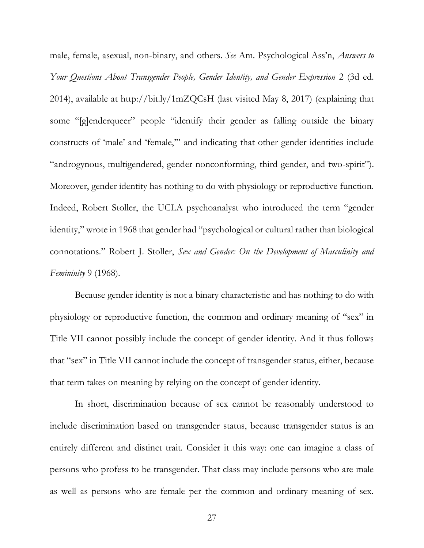male, female, asexual, non-binary, and others. *See* Am. Psychological Ass'n, *Answers to Your Questions About Transgender People, Gender Identity, and Gender Expression* 2 (3d ed. 2014), available at http://bit.ly/1mZQCsH (last visited May 8, 2017) (explaining that some "[g]enderqueer" people "identify their gender as falling outside the binary constructs of 'male' and 'female,'" and indicating that other gender identities include "androgynous, multigendered, gender nonconforming, third gender, and two-spirit"). Moreover, gender identity has nothing to do with physiology or reproductive function. Indeed, Robert Stoller, the UCLA psychoanalyst who introduced the term "gender identity," wrote in 1968 that gender had "psychological or cultural rather than biological connotations." Robert J. Stoller, *Sex and Gender: On the Development of Masculinity and Femininity* 9 (1968).

Because gender identity is not a binary characteristic and has nothing to do with physiology or reproductive function, the common and ordinary meaning of "sex" in Title VII cannot possibly include the concept of gender identity. And it thus follows that "sex" in Title VII cannot include the concept of transgender status, either, because that term takes on meaning by relying on the concept of gender identity.

In short, discrimination because of sex cannot be reasonably understood to include discrimination based on transgender status, because transgender status is an entirely different and distinct trait. Consider it this way: one can imagine a class of persons who profess to be transgender. That class may include persons who are male as well as persons who are female per the common and ordinary meaning of sex.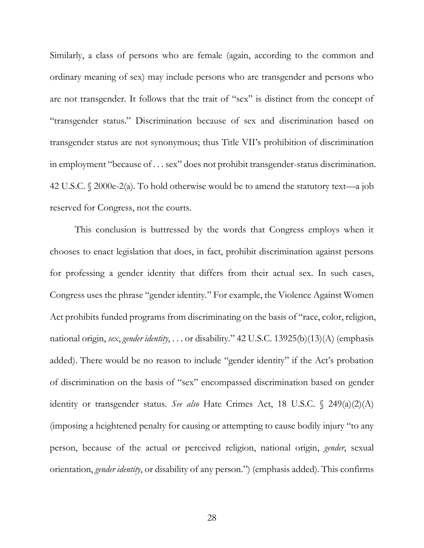Similarly, a class of persons who are female (again, according to the common and ordinary meaning of sex) may include persons who are transgender and persons who are not transgender. It follows that the trait of "sex" is distinct from the concept of "transgender status." Discrimination because of sex and discrimination based on transgender status are not synonymous; thus Title VII's prohibition of discrimination in employment "because of . . . sex" does not prohibit transgender-status discrimination. 42 U.S.C. § 2000e-2(a). To hold otherwise would be to amend the statutory text—a job reserved for Congress, not the courts.

This conclusion is buttressed by the words that Congress employs when it chooses to enact legislation that does, in fact, prohibit discrimination against persons for professing a gender identity that differs from their actual sex. In such cases, Congress uses the phrase "gender identity." For example, the Violence Against Women Act prohibits funded programs from discriminating on the basis of "race, color, religion, national origin, *sex*, *gender identity*, . . . or disability." 42 U.S.C. 13925(b)(13)(A) (emphasis added). There would be no reason to include "gender identity" if the Act's probation of discrimination on the basis of "sex" encompassed discrimination based on gender identity or transgender status. *See also* Hate Crimes Act, 18 U.S.C. § 249(a)(2)(A) (imposing a heightened penalty for causing or attempting to cause bodily injury "to any person, because of the actual or perceived religion, national origin, *gender*, sexual orientation, *gender identity*, or disability of any person.") (emphasis added). This confirms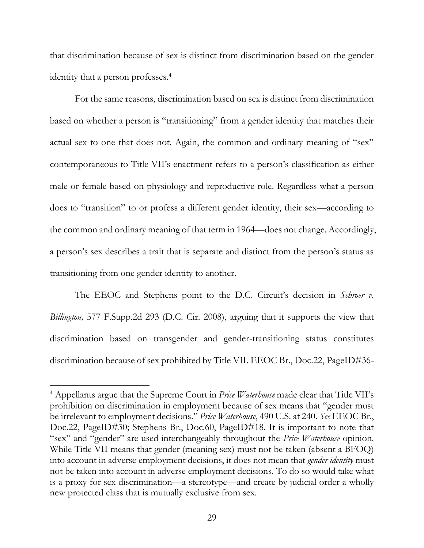that discrimination because of sex is distinct from discrimination based on the gender identity that a person professes.<sup>4</sup>

For the same reasons, discrimination based on sex is distinct from discrimination based on whether a person is "transitioning" from a gender identity that matches their actual sex to one that does not. Again, the common and ordinary meaning of "sex" contemporaneous to Title VII's enactment refers to a person's classification as either male or female based on physiology and reproductive role. Regardless what a person does to "transition" to or profess a different gender identity, their sex—according to the common and ordinary meaning of that term in 1964—does not change. Accordingly, a person's sex describes a trait that is separate and distinct from the person's status as transitioning from one gender identity to another.

The EEOC and Stephens point to the D.C. Circuit's decision in *Schroer v. Billington,* 577 F.Supp.2d 293 (D.C. Cir. 2008), arguing that it supports the view that discrimination based on transgender and gender-transitioning status constitutes discrimination because of sex prohibited by Title VII. EEOC Br., Doc.22, PageID#36-

 $\overline{\phantom{a}}$ 

<sup>4</sup> Appellants argue that the Supreme Court in *Price Waterhouse* made clear that Title VII's prohibition on discrimination in employment because of sex means that "gender must be irrelevant to employment decisions." *Price Waterhouse*, 490 U.S. at 240. *See* EEOC Br., Doc.22, PageID#30; Stephens Br., Doc.60, PageID#18. It is important to note that "sex" and "gender" are used interchangeably throughout the *Price Waterhouse* opinion. While Title VII means that gender (meaning sex) must not be taken (absent a BFOQ) into account in adverse employment decisions, it does not mean that *gender identity* must not be taken into account in adverse employment decisions. To do so would take what is a proxy for sex discrimination—a stereotype—and create by judicial order a wholly new protected class that is mutually exclusive from sex.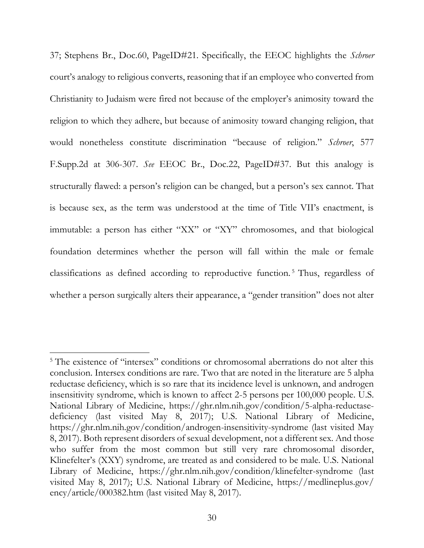37; Stephens Br., Doc.60, PageID#21. Specifically, the EEOC highlights the *Schroer*  court's analogy to religious converts, reasoning that if an employee who converted from Christianity to Judaism were fired not because of the employer's animosity toward the religion to which they adhere, but because of animosity toward changing religion, that would nonetheless constitute discrimination "because of religion." *Schroer*, 577 F.Supp.2d at 306-307. *See* EEOC Br., Doc.22, PageID#37. But this analogy is structurally flawed: a person's religion can be changed, but a person's sex cannot. That is because sex, as the term was understood at the time of Title VII's enactment, is immutable: a person has either "XX" or "XY" chromosomes, and that biological foundation determines whether the person will fall within the male or female classifications as defined according to reproductive function. <sup>5</sup> Thus, regardless of whether a person surgically alters their appearance, a "gender transition" does not alter

l

<sup>&</sup>lt;sup>5</sup> The existence of "intersex" conditions or chromosomal aberrations do not alter this conclusion. Intersex conditions are rare. Two that are noted in the literature are 5 alpha reductase deficiency, which is so rare that its incidence level is unknown, and androgen insensitivity syndrome, which is known to affect 2-5 persons per 100,000 people. U.S. National Library of Medicine, https://ghr.nlm.nih.gov/condition/5-alpha-reductasedeficiency (last visited May 8, 2017); U.S. National Library of Medicine, https://ghr.nlm.nih.gov/condition/androgen-insensitivity-syndrome (last visited May 8, 2017). Both represent disorders of sexual development, not a different sex. And those who suffer from the most common but still very rare chromosomal disorder, Klinefelter's (XXY) syndrome, are treated as and considered to be male. U.S. National Library of Medicine, https://ghr.nlm.nih.gov/condition/klinefelter-syndrome (last visited May 8, 2017); U.S. National Library of Medicine, https://medlineplus.gov/ ency/article/000382.htm (last visited May 8, 2017).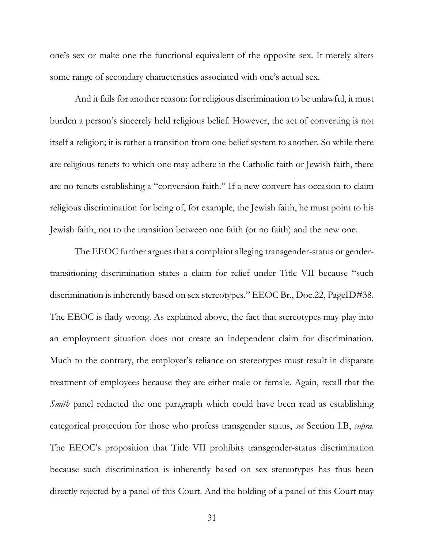one's sex or make one the functional equivalent of the opposite sex. It merely alters some range of secondary characteristics associated with one's actual sex.

And it fails for another reason: for religious discrimination to be unlawful, it must burden a person's sincerely held religious belief. However, the act of converting is not itself a religion; it is rather a transition from one belief system to another. So while there are religious tenets to which one may adhere in the Catholic faith or Jewish faith, there are no tenets establishing a "conversion faith." If a new convert has occasion to claim religious discrimination for being of, for example, the Jewish faith, he must point to his Jewish faith, not to the transition between one faith (or no faith) and the new one.

The EEOC further argues that a complaint alleging transgender-status or gendertransitioning discrimination states a claim for relief under Title VII because "such discrimination is inherently based on sex stereotypes." EEOC Br., Doc.22, PageID#38. The EEOC is flatly wrong. As explained above, the fact that stereotypes may play into an employment situation does not create an independent claim for discrimination. Much to the contrary, the employer's reliance on stereotypes must result in disparate treatment of employees because they are either male or female. Again, recall that the *Smith* panel redacted the one paragraph which could have been read as establishing categorical protection for those who profess transgender status, *see* Section I.B, *supra*. The EEOC's proposition that Title VII prohibits transgender-status discrimination because such discrimination is inherently based on sex stereotypes has thus been directly rejected by a panel of this Court. And the holding of a panel of this Court may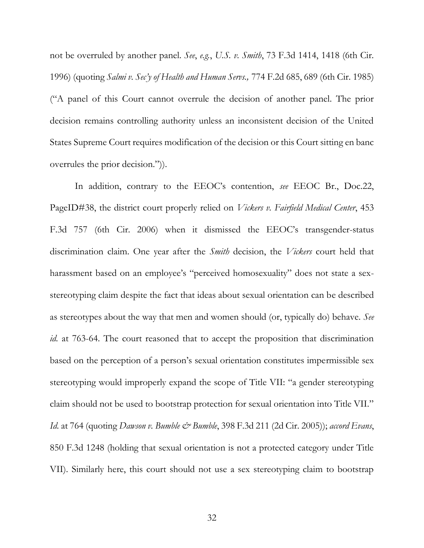not be overruled by another panel. *See*, *e.g.*, *U.S. v. Smith*, 73 F.3d 1414, 1418 (6th Cir. 1996) (quoting *Salmi v. Sec'y of Health and Human Servs.,* 774 F.2d 685, 689 (6th Cir. 1985) ("A panel of this Court cannot overrule the decision of another panel. The prior decision remains controlling authority unless an inconsistent decision of the United States Supreme Court requires modification of the decision or this Court sitting en banc overrules the prior decision.")).

In addition, contrary to the EEOC's contention, *see* EEOC Br., Doc.22, PageID#38, the district court properly relied on *Vickers v. Fairfield Medical Center*, 453 F.3d 757 (6th Cir. 2006) when it dismissed the EEOC's transgender-status discrimination claim. One year after the *Smith* decision, the *Vickers* court held that harassment based on an employee's "perceived homosexuality" does not state a sexstereotyping claim despite the fact that ideas about sexual orientation can be described as stereotypes about the way that men and women should (or, typically do) behave. *See id.* at 763-64. The court reasoned that to accept the proposition that discrimination based on the perception of a person's sexual orientation constitutes impermissible sex stereotyping would improperly expand the scope of Title VII: "a gender stereotyping claim should not be used to bootstrap protection for sexual orientation into Title VII." *Id.* at 764 (quoting *Dawson v. Bumble & Bumble*, 398 F.3d 211 (2d Cir. 2005)); *accord Evans*, 850 F.3d 1248 (holding that sexual orientation is not a protected category under Title VII). Similarly here, this court should not use a sex stereotyping claim to bootstrap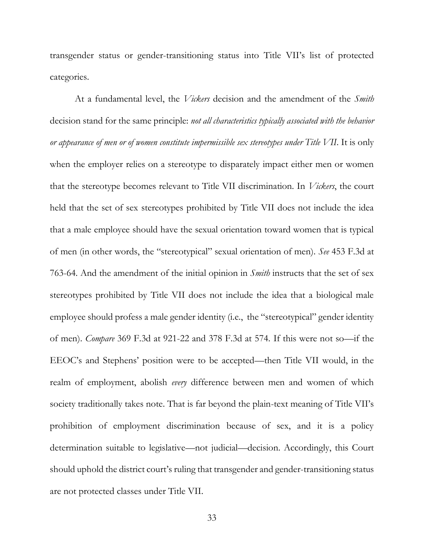transgender status or gender-transitioning status into Title VII's list of protected categories.

At a fundamental level, the *Vickers* decision and the amendment of the *Smith*  decision stand for the same principle: *not all characteristics typically associated with the behavior or appearance of men or of women constitute impermissible sex stereotypes under Title VII*. It is only when the employer relies on a stereotype to disparately impact either men or women that the stereotype becomes relevant to Title VII discrimination. In *Vickers*, the court held that the set of sex stereotypes prohibited by Title VII does not include the idea that a male employee should have the sexual orientation toward women that is typical of men (in other words, the "stereotypical" sexual orientation of men). *See* 453 F.3d at 763-64. And the amendment of the initial opinion in *Smith* instructs that the set of sex stereotypes prohibited by Title VII does not include the idea that a biological male employee should profess a male gender identity (i.e., the "stereotypical" gender identity of men). *Compare* 369 F.3d at 921-22 and 378 F.3d at 574. If this were not so—if the EEOC's and Stephens' position were to be accepted—then Title VII would, in the realm of employment, abolish *every* difference between men and women of which society traditionally takes note. That is far beyond the plain-text meaning of Title VII's prohibition of employment discrimination because of sex, and it is a policy determination suitable to legislative—not judicial—decision. Accordingly, this Court should uphold the district court's ruling that transgender and gender-transitioning status are not protected classes under Title VII.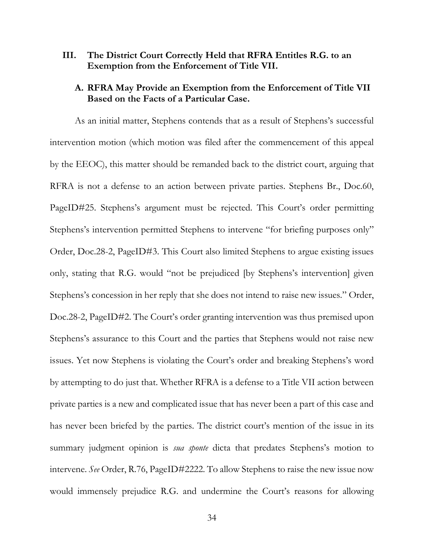#### <span id="page-41-0"></span>**III. The District Court Correctly Held that RFRA Entitles R.G. to an Exemption from the Enforcement of Title VII.**

#### <span id="page-41-1"></span>**A. RFRA May Provide an Exemption from the Enforcement of Title VII Based on the Facts of a Particular Case.**

As an initial matter, Stephens contends that as a result of Stephens's successful intervention motion (which motion was filed after the commencement of this appeal by the EEOC), this matter should be remanded back to the district court, arguing that RFRA is not a defense to an action between private parties. Stephens Br., Doc.60, PageID#25. Stephens's argument must be rejected. This Court's order permitting Stephens's intervention permitted Stephens to intervene "for briefing purposes only" Order, Doc.28-2, PageID#3. This Court also limited Stephens to argue existing issues only, stating that R.G. would "not be prejudiced [by Stephens's intervention] given Stephens's concession in her reply that she does not intend to raise new issues." Order, Doc.28-2, PageID#2. The Court's order granting intervention was thus premised upon Stephens's assurance to this Court and the parties that Stephens would not raise new issues. Yet now Stephens is violating the Court's order and breaking Stephens's word by attempting to do just that. Whether RFRA is a defense to a Title VII action between private parties is a new and complicated issue that has never been a part of this case and has never been briefed by the parties. The district court's mention of the issue in its summary judgment opinion is *sua sponte* dicta that predates Stephens's motion to intervene. *See* Order, R.76, PageID#2222. To allow Stephens to raise the new issue now would immensely prejudice R.G. and undermine the Court's reasons for allowing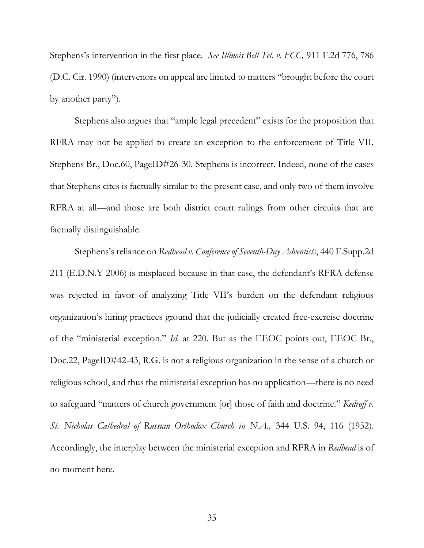Stephens's intervention in the first place. *See Illinois Bell Tel. v. FCC,* 911 F.2d 776, 786 (D.C. Cir. 1990) (intervenors on appeal are limited to matters "brought before the court by another party").

Stephens also argues that "ample legal precedent" exists for the proposition that RFRA may not be applied to create an exception to the enforcement of Title VII. Stephens Br., Doc.60, PageID#26-30. Stephens is incorrect. Indeed, none of the cases that Stephens cites is factually similar to the present case, and only two of them involve RFRA at all—and those are both district court rulings from other circuits that are factually distinguishable.

Stephens's reliance on *Redhead v. Conference of Seventh-Day Adventists*, 440 F.Supp.2d 211 (E.D.N.Y 2006) is misplaced because in that case, the defendant's RFRA defense was rejected in favor of analyzing Title VII's burden on the defendant religious organization's hiring practices ground that the judicially created free-exercise doctrine of the "ministerial exception." *Id.* at 220. But as the EEOC points out, EEOC Br., Doc.22, PageID#42-43, R.G. is not a religious organization in the sense of a church or religious school, and thus the ministerial exception has no application—there is no need to safeguard "matters of church government [or] those of faith and doctrine." *Kedroff v. St. Nicholas Cathedral of Russian Orthodox Church in N.A.,* 344 U.S. 94, 116 (1952). Accordingly, the interplay between the ministerial exception and RFRA in *Redhead* is of no moment here.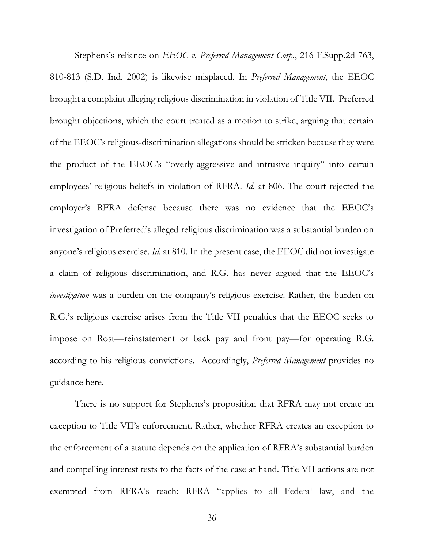Stephens's reliance on *EEOC v. Preferred Management Corp.*, 216 F.Supp.2d 763, 810-813 (S.D. Ind. 2002) is likewise misplaced. In *Preferred Management*, the EEOC brought a complaint alleging religious discrimination in violation of Title VII. Preferred brought objections, which the court treated as a motion to strike, arguing that certain of the EEOC's religious-discrimination allegations should be stricken because they were the product of the EEOC's "overly-aggressive and intrusive inquiry" into certain employees' religious beliefs in violation of RFRA. *Id*. at 806. The court rejected the employer's RFRA defense because there was no evidence that the EEOC's investigation of Preferred's alleged religious discrimination was a substantial burden on anyone's religious exercise. *Id.* at 810. In the present case, the EEOC did not investigate a claim of religious discrimination, and R.G. has never argued that the EEOC's *investigation* was a burden on the company's religious exercise. Rather, the burden on R.G.'s religious exercise arises from the Title VII penalties that the EEOC seeks to impose on Rost—reinstatement or back pay and front pay—for operating R.G. according to his religious convictions. Accordingly, *Preferred Management* provides no guidance here.

There is no support for Stephens's proposition that RFRA may not create an exception to Title VII's enforcement. Rather, whether RFRA creates an exception to the enforcement of a statute depends on the application of RFRA's substantial burden and compelling interest tests to the facts of the case at hand. Title VII actions are not exempted from RFRA's reach: RFRA "applies to all Federal law, and the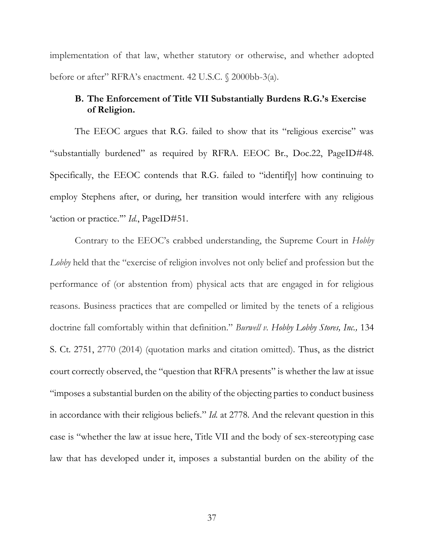implementation of that law, whether statutory or otherwise, and whether adopted before or after" RFRA's enactment. 42 U.S.C. § 2000bb-3(a).

### <span id="page-44-0"></span>**B. The Enforcement of Title VII Substantially Burdens R.G.'s Exercise of Religion.**

The EEOC argues that R.G. failed to show that its "religious exercise" was "substantially burdened" as required by RFRA. EEOC Br., Doc.22, PageID#48. Specifically, the EEOC contends that R.G. failed to "identif[y] how continuing to employ Stephens after, or during, her transition would interfere with any religious 'action or practice.'" *Id.*, PageID#51.

Contrary to the EEOC's crabbed understanding, the Supreme Court in *Hobby Lobby* held that the "exercise of religion involves not only belief and profession but the performance of (or abstention from) physical acts that are engaged in for religious reasons. Business practices that are compelled or limited by the tenets of a religious doctrine fall comfortably within that definition." *Burwell v. Hobby Lobby Stores, Inc.,* 134 S. Ct. 2751, 2770 (2014) (quotation marks and citation omitted). Thus, as the district court correctly observed, the "question that RFRA presents" is whether the law at issue "imposes a substantial burden on the ability of the objecting parties to conduct business in accordance with their religious beliefs." *Id.* at 2778. And the relevant question in this case is "whether the law at issue here, Title VII and the body of sex-stereotyping case law that has developed under it, imposes a substantial burden on the ability of the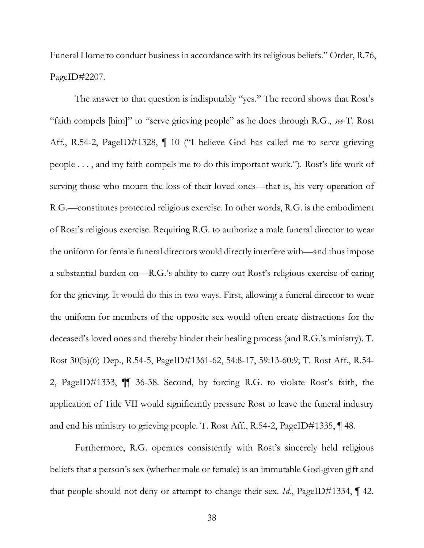Funeral Home to conduct business in accordance with its religious beliefs." Order, R.76, PageID#2207.

The answer to that question is indisputably "yes." The record shows that Rost's "faith compels [him]" to "serve grieving people" as he does through R.G., *see* T. Rost Aff., R.54-2, PageID#1328,  $\P$  10 ("I believe God has called me to serve grieving people . . . , and my faith compels me to do this important work."). Rost's life work of serving those who mourn the loss of their loved ones—that is, his very operation of R.G.—constitutes protected religious exercise. In other words, R.G. is the embodiment of Rost's religious exercise. Requiring R.G. to authorize a male funeral director to wear the uniform for female funeral directors would directly interfere with—and thus impose a substantial burden on—R.G.'s ability to carry out Rost's religious exercise of caring for the grieving. It would do this in two ways. First, allowing a funeral director to wear the uniform for members of the opposite sex would often create distractions for the deceased's loved ones and thereby hinder their healing process (and R.G.'s ministry). T. Rost 30(b)(6) Dep., R.54-5, PageID#1361-62, 54:8-17, 59:13-60:9; T. Rost Aff., R.54- 2, PageID#1333, ¶¶ 36-38. Second, by forcing R.G. to violate Rost's faith, the application of Title VII would significantly pressure Rost to leave the funeral industry and end his ministry to grieving people. T. Rost Aff., R.54-2, PageID#1335, ¶ 48.

Furthermore, R.G. operates consistently with Rost's sincerely held religious beliefs that a person's sex (whether male or female) is an immutable God-given gift and that people should not deny or attempt to change their sex. *Id.*, PageID#1334, ¶ 42.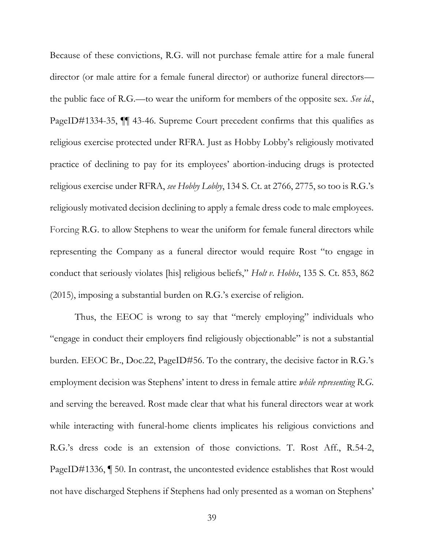Because of these convictions, R.G. will not purchase female attire for a male funeral director (or male attire for a female funeral director) or authorize funeral directors the public face of R.G.—to wear the uniform for members of the opposite sex. *See id.*, PageID#1334-35, ¶¶ 43-46. Supreme Court precedent confirms that this qualifies as religious exercise protected under RFRA. Just as Hobby Lobby's religiously motivated practice of declining to pay for its employees' abortion-inducing drugs is protected religious exercise under RFRA, *see Hobby Lobby*, 134 S. Ct. at 2766, 2775, so too is R.G.'s religiously motivated decision declining to apply a female dress code to male employees. Forcing R.G. to allow Stephens to wear the uniform for female funeral directors while representing the Company as a funeral director would require Rost "to engage in conduct that seriously violates [his] religious beliefs," *Holt v. Hobbs*, 135 S. Ct. 853, 862 (2015), imposing a substantial burden on R.G.'s exercise of religion.

Thus, the EEOC is wrong to say that "merely employing" individuals who "engage in conduct their employers find religiously objectionable" is not a substantial burden. EEOC Br., Doc.22, PageID#56. To the contrary, the decisive factor in R.G.'s employment decision was Stephens' intent to dress in female attire *while representing R.G.*  and serving the bereaved. Rost made clear that what his funeral directors wear at work while interacting with funeral-home clients implicates his religious convictions and R.G.'s dress code is an extension of those convictions. T. Rost Aff., R.54-2, PageID#1336, ¶ 50. In contrast, the uncontested evidence establishes that Rost would not have discharged Stephens if Stephens had only presented as a woman on Stephens'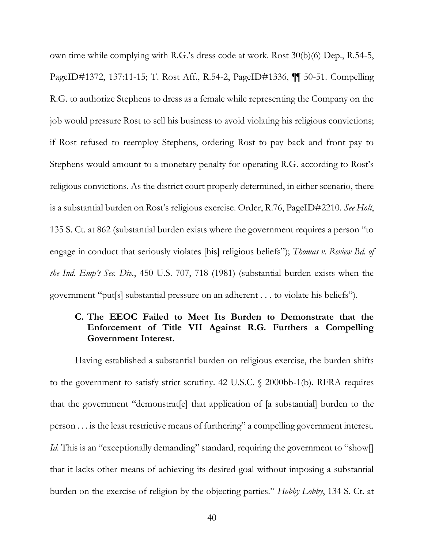own time while complying with R.G.'s dress code at work. Rost 30(b)(6) Dep., R.54-5, PageID#1372, 137:11-15; T. Rost Aff., R.54-2, PageID#1336, ¶¶ 50-51. Compelling R.G. to authorize Stephens to dress as a female while representing the Company on the job would pressure Rost to sell his business to avoid violating his religious convictions; if Rost refused to reemploy Stephens, ordering Rost to pay back and front pay to Stephens would amount to a monetary penalty for operating R.G. according to Rost's religious convictions. As the district court properly determined, in either scenario, there is a substantial burden on Rost's religious exercise. Order, R.76, PageID#2210. *See Holt*, 135 S. Ct. at 862 (substantial burden exists where the government requires a person "to engage in conduct that seriously violates [his] religious beliefs"); *Thomas v. Review Bd. of the Ind. Emp't Sec. Div.*, 450 U.S. 707, 718 (1981) (substantial burden exists when the government "put[s] substantial pressure on an adherent . . . to violate his beliefs").

### <span id="page-47-0"></span>**C. The EEOC Failed to Meet Its Burden to Demonstrate that the Enforcement of Title VII Against R.G. Furthers a Compelling Government Interest.**

Having established a substantial burden on religious exercise, the burden shifts to the government to satisfy strict scrutiny. 42 U.S.C. § 2000bb-1(b). RFRA requires that the government "demonstrat[e] that application of [a substantial] burden to the person . . . is the least restrictive means of furthering" a compelling government interest. *Id.* This is an "exceptionally demanding" standard, requiring the government to "show[] that it lacks other means of achieving its desired goal without imposing a substantial burden on the exercise of religion by the objecting parties." *Hobby Lobby*, 134 S. Ct. at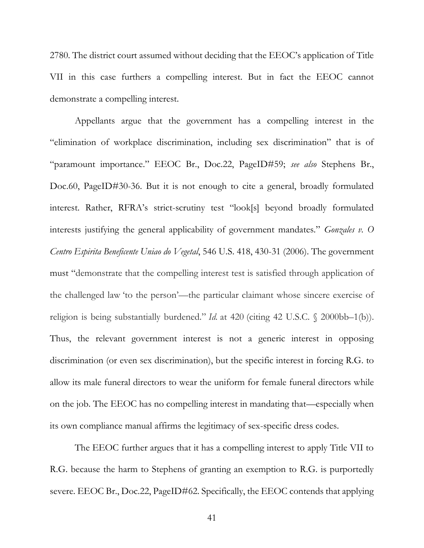2780. The district court assumed without deciding that the EEOC's application of Title VII in this case furthers a compelling interest. But in fact the EEOC cannot demonstrate a compelling interest.

Appellants argue that the government has a compelling interest in the "elimination of workplace discrimination, including sex discrimination" that is of "paramount importance." EEOC Br., Doc.22, PageID#59; *see also* Stephens Br., Doc.60, PageID#30-36. But it is not enough to cite a general, broadly formulated interest. Rather, RFRA's strict-scrutiny test "look[s] beyond broadly formulated interests justifying the general applicability of government mandates." *Gonzales v. O Centro Espirita Beneficente Uniao do Vegetal*, 546 U.S. 418, 430-31 (2006). The government must "demonstrate that the compelling interest test is satisfied through application of the challenged law 'to the person'—the particular claimant whose sincere exercise of religion is being substantially burdened." *Id.* at 420 (citing 42 U.S.C. § 2000bb–1(b)). Thus, the relevant government interest is not a generic interest in opposing discrimination (or even sex discrimination), but the specific interest in forcing R.G. to allow its male funeral directors to wear the uniform for female funeral directors while on the job. The EEOC has no compelling interest in mandating that—especially when its own compliance manual affirms the legitimacy of sex-specific dress codes.

The EEOC further argues that it has a compelling interest to apply Title VII to R.G. because the harm to Stephens of granting an exemption to R.G. is purportedly severe. EEOC Br., Doc.22, PageID#62. Specifically, the EEOC contends that applying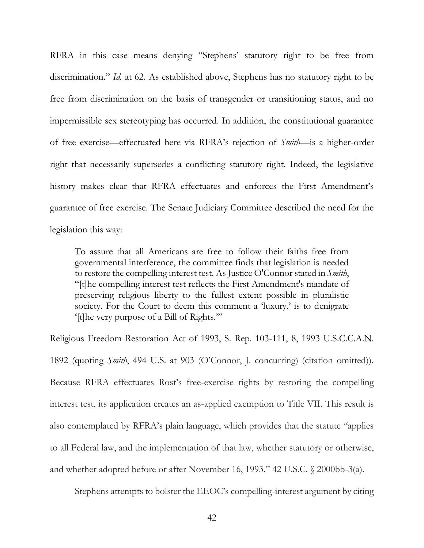RFRA in this case means denying "Stephens' statutory right to be free from discrimination." *Id.* at 62. As established above, Stephens has no statutory right to be free from discrimination on the basis of transgender or transitioning status, and no impermissible sex stereotyping has occurred. In addition, the constitutional guarantee of free exercise—effectuated here via RFRA's rejection of *Smith*—is a higher-order right that necessarily supersedes a conflicting statutory right. Indeed, the legislative history makes clear that RFRA effectuates and enforces the First Amendment's guarantee of free exercise. The Senate Judiciary Committee described the need for the legislation this way:

To assure that all Americans are free to follow their faiths free from governmental interference, the committee finds that legislation is needed to restore the compelling interest test. As Justice O'Connor stated in *Smith*, "[t]he compelling interest test reflects the First Amendment's mandate of preserving religious liberty to the fullest extent possible in pluralistic society. For the Court to deem this comment a 'luxury,' is to denigrate '[t]he very purpose of a Bill of Rights.'"

Religious Freedom Restoration Act of 1993, S. Rep. 103-111, 8, 1993 U.S.C.C.A.N. 1892 (quoting *Smith*, 494 U.S. at 903 (O'Connor, J. concurring) (citation omitted)). Because RFRA effectuates Rost's free-exercise rights by restoring the compelling interest test, its application creates an as-applied exemption to Title VII. This result is also contemplated by RFRA's plain language, which provides that the statute "applies to all Federal law, and the implementation of that law, whether statutory or otherwise, and whether adopted before or after November 16, 1993." 42 U.S.C. § 2000bb-3(a).

Stephens attempts to bolster the EEOC's compelling-interest argument by citing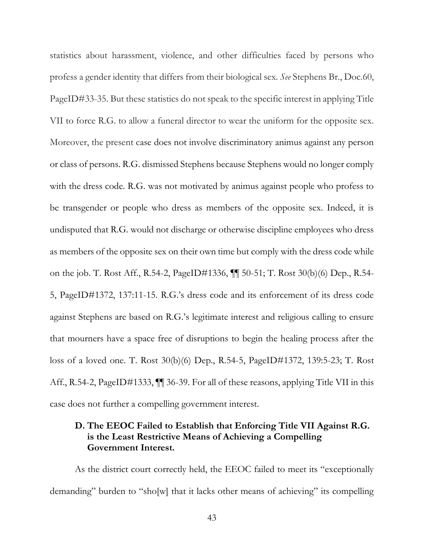statistics about harassment, violence, and other difficulties faced by persons who profess a gender identity that differs from their biological sex. *See* Stephens Br., Doc.60, PageID#33-35. But these statistics do not speak to the specific interest in applying Title VII to force R.G. to allow a funeral director to wear the uniform for the opposite sex. Moreover, the present case does not involve discriminatory animus against any person or class of persons. R.G. dismissed Stephens because Stephens would no longer comply with the dress code. R.G. was not motivated by animus against people who profess to be transgender or people who dress as members of the opposite sex. Indeed, it is undisputed that R.G. would not discharge or otherwise discipline employees who dress as members of the opposite sex on their own time but comply with the dress code while on the job. T. Rost Aff., R.54-2, PageID#1336, ¶¶ 50-51; T. Rost 30(b)(6) Dep., R.54- 5, PageID#1372, 137:11-15. R.G.'s dress code and its enforcement of its dress code against Stephens are based on R.G.'s legitimate interest and religious calling to ensure that mourners have a space free of disruptions to begin the healing process after the loss of a loved one. T. Rost 30(b)(6) Dep., R.54-5, PageID#1372, 139:5-23; T. Rost Aff., R.54-2, PageID#1333, ¶¶ 36-39. For all of these reasons, applying Title VII in this case does not further a compelling government interest.

### <span id="page-50-0"></span>**D. The EEOC Failed to Establish that Enforcing Title VII Against R.G. is the Least Restrictive Means of Achieving a Compelling Government Interest.**

As the district court correctly held, the EEOC failed to meet its "exceptionally demanding" burden to "sho[w] that it lacks other means of achieving" its compelling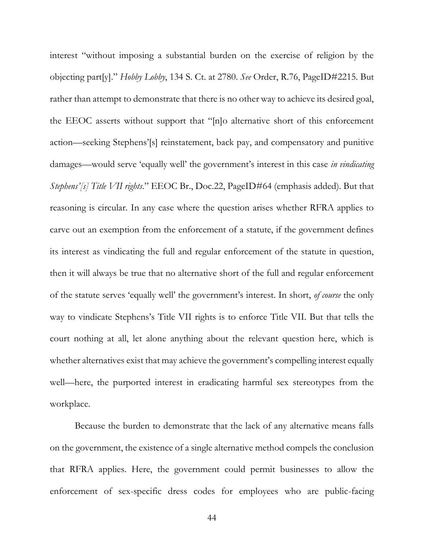interest "without imposing a substantial burden on the exercise of religion by the objecting part[y]." *Hobby Lobby*, 134 S. Ct. at 2780. *See* Order, R.76, PageID#2215. But rather than attempt to demonstrate that there is no other way to achieve its desired goal, the EEOC asserts without support that "[n]o alternative short of this enforcement action—seeking Stephens'[s] reinstatement, back pay, and compensatory and punitive damages—would serve 'equally well' the government's interest in this case *in vindicating Stephens'[s] Title VII rights*." EEOC Br., Doc.22, PageID#64 (emphasis added). But that reasoning is circular. In any case where the question arises whether RFRA applies to carve out an exemption from the enforcement of a statute, if the government defines its interest as vindicating the full and regular enforcement of the statute in question, then it will always be true that no alternative short of the full and regular enforcement of the statute serves 'equally well' the government's interest. In short, *of course* the only way to vindicate Stephens's Title VII rights is to enforce Title VII. But that tells the court nothing at all, let alone anything about the relevant question here, which is whether alternatives exist that may achieve the government's compelling interest equally well—here, the purported interest in eradicating harmful sex stereotypes from the workplace.

Because the burden to demonstrate that the lack of any alternative means falls on the government, the existence of a single alternative method compels the conclusion that RFRA applies. Here, the government could permit businesses to allow the enforcement of sex-specific dress codes for employees who are public-facing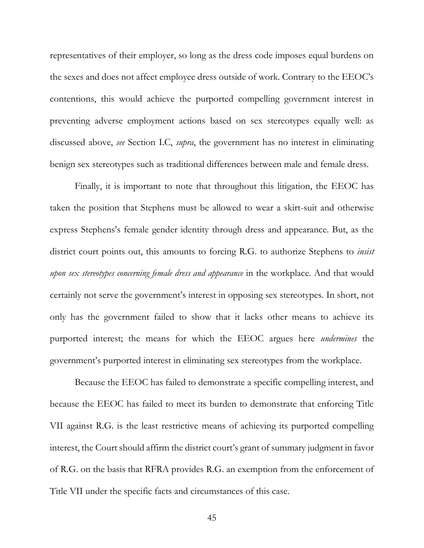representatives of their employer, so long as the dress code imposes equal burdens on the sexes and does not affect employee dress outside of work. Contrary to the EEOC's contentions, this would achieve the purported compelling government interest in preventing adverse employment actions based on sex stereotypes equally well: as discussed above, *see* Section I.C, *supra*, the government has no interest in eliminating benign sex stereotypes such as traditional differences between male and female dress.

Finally, it is important to note that throughout this litigation, the EEOC has taken the position that Stephens must be allowed to wear a skirt-suit and otherwise express Stephens's female gender identity through dress and appearance. But, as the district court points out, this amounts to forcing R.G. to authorize Stephens to *insist upon sex stereotypes concerning female dress and appearance* in the workplace. And that would certainly not serve the government's interest in opposing sex stereotypes. In short, not only has the government failed to show that it lacks other means to achieve its purported interest; the means for which the EEOC argues here *undermines* the government's purported interest in eliminating sex stereotypes from the workplace.

Because the EEOC has failed to demonstrate a specific compelling interest, and because the EEOC has failed to meet its burden to demonstrate that enforcing Title VII against R.G. is the least restrictive means of achieving its purported compelling interest, the Court should affirm the district court's grant of summary judgment in favor of R.G. on the basis that RFRA provides R.G. an exemption from the enforcement of Title VII under the specific facts and circumstances of this case.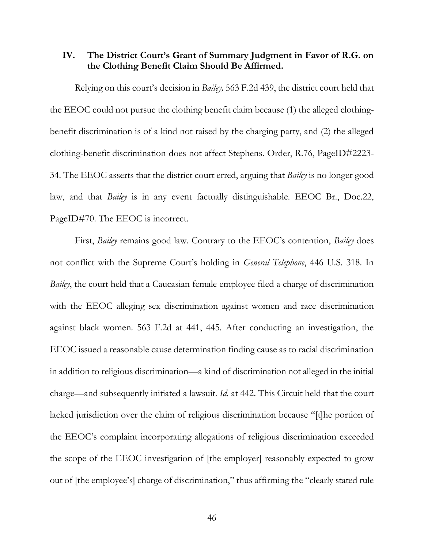### <span id="page-53-0"></span>**IV. The District Court's Grant of Summary Judgment in Favor of R.G. on the Clothing Benefit Claim Should Be Affirmed.**

Relying on this court's decision in *Bailey,* 563 F.2d 439, the district court held that the EEOC could not pursue the clothing benefit claim because (1) the alleged clothingbenefit discrimination is of a kind not raised by the charging party, and (2) the alleged clothing-benefit discrimination does not affect Stephens. Order, R.76, PageID#2223- 34. The EEOC asserts that the district court erred, arguing that *Bailey* is no longer good law, and that *Bailey* is in any event factually distinguishable. EEOC Br., Doc.22, PageID#70. The EEOC is incorrect.

First, *Bailey* remains good law. Contrary to the EEOC's contention, *Bailey* does not conflict with the Supreme Court's holding in *General Telephone*, 446 U.S. 318. In *Bailey*, the court held that a Caucasian female employee filed a charge of discrimination with the EEOC alleging sex discrimination against women and race discrimination against black women. 563 F.2d at 441, 445. After conducting an investigation, the EEOC issued a reasonable cause determination finding cause as to racial discrimination in addition to religious discrimination—a kind of discrimination not alleged in the initial charge—and subsequently initiated a lawsuit. *Id.* at 442. This Circuit held that the court lacked jurisdiction over the claim of religious discrimination because "[t]he portion of the EEOC's complaint incorporating allegations of religious discrimination exceeded the scope of the EEOC investigation of [the employer] reasonably expected to grow out of [the employee's] charge of discrimination," thus affirming the "clearly stated rule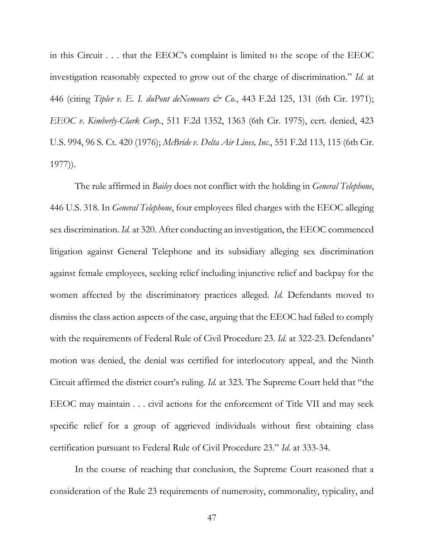in this Circuit . . . that the EEOC's complaint is limited to the scope of the EEOC investigation reasonably expected to grow out of the charge of discrimination." *Id.* at 446 (citing *Tipler v. E. I. duPont deNemours & Co.*, 443 F.2d 125, 131 (6th Cir. 1971); *EEOC v. Kimberly-Clark Corp.*, 511 F.2d 1352, 1363 (6th Cir. 1975), cert. denied, 423 U.S. 994, 96 S. Ct. 420 (1976); *McBride v. Delta Air Lines, Inc.*, 551 F.2d 113, 115 (6th Cir. 1977)).

The rule affirmed in *Bailey* does not conflict with the holding in *General Telephone*, 446 U.S. 318. In *General Telephone*, four employees filed charges with the EEOC alleging sex discrimination. *Id.* at 320. After conducting an investigation, the EEOC commenced litigation against General Telephone and its subsidiary alleging sex discrimination against female employees, seeking relief including injunctive relief and backpay for the women affected by the discriminatory practices alleged. *Id.* Defendants moved to dismiss the class action aspects of the case, arguing that the EEOC had failed to comply with the requirements of Federal Rule of Civil Procedure 23. *Id.* at 322-23. Defendants' motion was denied, the denial was certified for interlocutory appeal, and the Ninth Circuit affirmed the district court's ruling. *Id.* at 323. The Supreme Court held that "the EEOC may maintain . . . civil actions for the enforcement of Title VII and may seek specific relief for a group of aggrieved individuals without first obtaining class certification pursuant to Federal Rule of Civil Procedure 23." *Id.* at 333-34.

In the course of reaching that conclusion, the Supreme Court reasoned that a consideration of the Rule 23 requirements of numerosity, commonality, typicality, and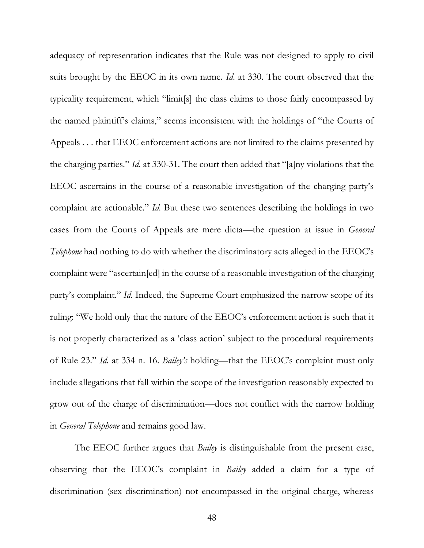adequacy of representation indicates that the Rule was not designed to apply to civil suits brought by the EEOC in its own name. *Id*. at 330. The court observed that the typicality requirement, which "limit[s] the class claims to those fairly encompassed by the named plaintiff's claims," seems inconsistent with the holdings of "the Courts of Appeals . . . that EEOC enforcement actions are not limited to the claims presented by the charging parties." *Id.* at 330-31. The court then added that "[a]ny violations that the EEOC ascertains in the course of a reasonable investigation of the charging party's complaint are actionable." *Id.* But these two sentences describing the holdings in two cases from the Courts of Appeals are mere dicta—the question at issue in *General Telephone* had nothing to do with whether the discriminatory acts alleged in the EEOC's complaint were "ascertain[ed] in the course of a reasonable investigation of the charging party's complaint." *Id.* Indeed, the Supreme Court emphasized the narrow scope of its ruling: "We hold only that the nature of the EEOC's enforcement action is such that it is not properly characterized as a 'class action' subject to the procedural requirements of Rule 23." *Id.* at 334 n. 16. *Bailey's* holding—that the EEOC's complaint must only include allegations that fall within the scope of the investigation reasonably expected to grow out of the charge of discrimination—does not conflict with the narrow holding in *General Telephone* and remains good law.

The EEOC further argues that *Bailey* is distinguishable from the present case, observing that the EEOC's complaint in *Bailey* added a claim for a type of discrimination (sex discrimination) not encompassed in the original charge, whereas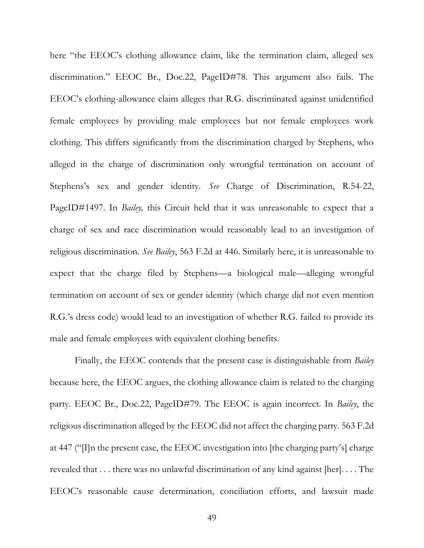here "the EEOC's clothing allowance claim, like the termination claim, alleged sex discrimination." EEOC Br., Doc.22, PageID#78. This argument also fails. The EEOC's clothing-allowance claim alleges that R.G. discriminated against unidentified female employees by providing male employees but not female employees work clothing. This differs significantly from the discrimination charged by Stephens, who alleged in the charge of discrimination only wrongful termination on account of Stephens's sex and gender identity. *See* Charge of Discrimination, R.54-22, PageID#1497. In *Bailey,* this Circuit held that it was unreasonable to expect that a charge of sex and race discrimination would reasonably lead to an investigation of religious discrimination. *See Bailey*, 563 F.2d at 446. Similarly here, it is unreasonable to expect that the charge filed by Stephens—a biological male—alleging wrongful termination on account of sex or gender identity (which charge did not even mention R.G.'s dress code) would lead to an investigation of whether R.G. failed to provide its male and female employees with equivalent clothing benefits.

Finally, the EEOC contends that the present case is distinguishable from *Bailey*  because here, the EEOC argues, the clothing allowance claim is related to the charging party. EEOC Br., Doc.22, PageID#79. The EEOC is again incorrect. In *Bailey*, the religious discrimination alleged by the EEOC did not affect the charging party. 563 F.2d at 447 ("[I]n the present case, the EEOC investigation into [the charging party's] charge revealed that . . . there was no unlawful discrimination of any kind against [her]. . . . The EEOC's reasonable cause determination, conciliation efforts, and lawsuit made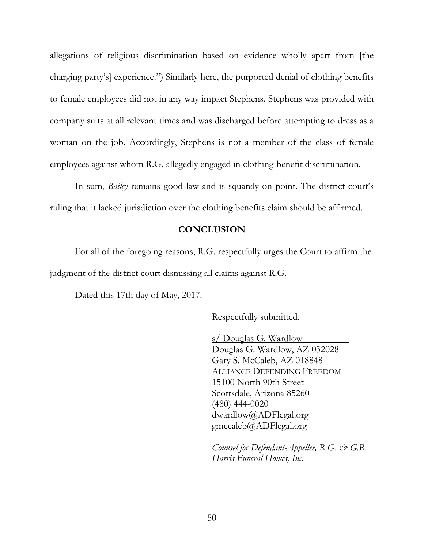allegations of religious discrimination based on evidence wholly apart from [the charging party's] experience.") Similarly here, the purported denial of clothing benefits to female employees did not in any way impact Stephens. Stephens was provided with company suits at all relevant times and was discharged before attempting to dress as a woman on the job. Accordingly, Stephens is not a member of the class of female employees against whom R.G. allegedly engaged in clothing-benefit discrimination.

In sum, *Bailey* remains good law and is squarely on point. The district court's ruling that it lacked jurisdiction over the clothing benefits claim should be affirmed.

#### **CONCLUSION**

<span id="page-57-0"></span>For all of the foregoing reasons, R.G. respectfully urges the Court to affirm the judgment of the district court dismissing all claims against R.G.

Dated this 17th day of May, 2017.

Respectfully submitted,

s/ Douglas G. Wardlow Douglas G. Wardlow, AZ 032028 Gary S. McCaleb, AZ 018848 ALLIANCE DEFENDING FREEDOM 15100 North 90th Street Scottsdale, Arizona 85260 (480) 444-0020 dwardlow@ADFlegal.org gmccaleb@ADFlegal.org

*Counsel for Defendant-Appellee, R.G. & G.R. Harris Funeral Homes, Inc.*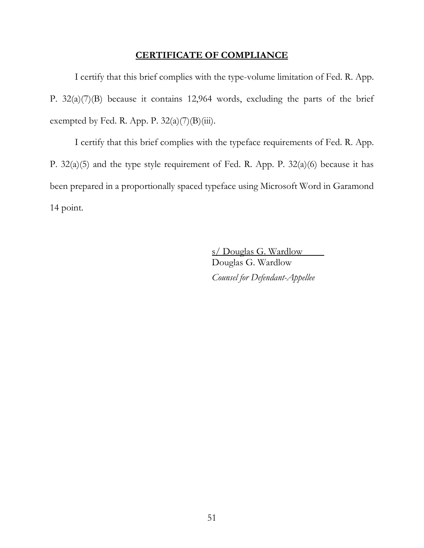#### **CERTIFICATE OF COMPLIANCE**

<span id="page-58-0"></span>I certify that this brief complies with the type-volume limitation of Fed. R. App. P. 32(a)(7)(B) because it contains 12,964 words, excluding the parts of the brief exempted by Fed. R. App. P.  $32(a)(7)(B)(iii)$ .

I certify that this brief complies with the typeface requirements of Fed. R. App. P. 32(a)(5) and the type style requirement of Fed. R. App. P. 32(a)(6) because it has been prepared in a proportionally spaced typeface using Microsoft Word in Garamond 14 point.

> s/ Douglas G. Wardlow Douglas G. Wardlow *Counsel for Defendant-Appellee*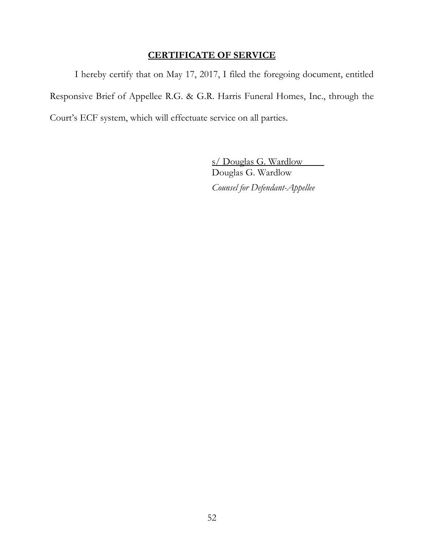### **CERTIFICATE OF SERVICE**

<span id="page-59-0"></span>I hereby certify that on May 17, 2017, I filed the foregoing document, entitled Responsive Brief of Appellee R.G. & G.R. Harris Funeral Homes, Inc., through the Court's ECF system, which will effectuate service on all parties.

> s/ Douglas G. Wardlow Douglas G. Wardlow *Counsel for Defendant-Appellee*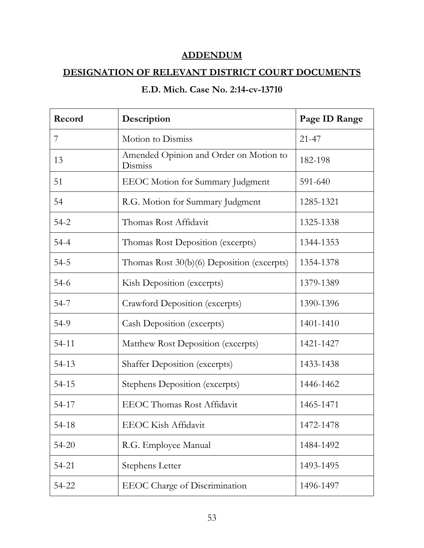### **ADDENDUM**

### <span id="page-60-0"></span>**DESIGNATION OF RELEVANT DISTRICT COURT DOCUMENTS**

### **E.D. Mich. Case No. 2:14-cv-13710**

| Record    | Description                                       | Page ID Range |
|-----------|---------------------------------------------------|---------------|
| 7         | Motion to Dismiss                                 | $21 - 47$     |
| 13        | Amended Opinion and Order on Motion to<br>Dismiss | 182-198       |
| 51        | <b>EEOC</b> Motion for Summary Judgment           | 591-640       |
| 54        | R.G. Motion for Summary Judgment                  | 1285-1321     |
| $54 - 2$  | Thomas Rost Affidavit                             | 1325-1338     |
| $54 - 4$  | Thomas Rost Deposition (excerpts)                 | 1344-1353     |
| $54 - 5$  | Thomas Rost 30(b)(6) Deposition (excerpts)        | 1354-1378     |
| $54-6$    | Kish Deposition (excerpts)                        | 1379-1389     |
| $54 - 7$  | Crawford Deposition (excerpts)                    | 1390-1396     |
| 54-9      | <b>Cash Deposition (excerpts)</b>                 | 1401-1410     |
| $54 - 11$ | Matthew Rost Deposition (excerpts)                | 1421-1427     |
| 54-13     | <b>Shaffer Deposition (excerpts)</b>              | 1433-1438     |
| 54-15     | Stephens Deposition (excerpts)                    | 1446-1462     |
| 54-17     | <b>EEOC</b> Thomas Rost Affidavit                 | 1465-1471     |
| 54-18     | EEOC Kish Affidavit                               | 1472-1478     |
| $54 - 20$ | R.G. Employee Manual                              | 1484-1492     |
| 54-21     | Stephens Letter                                   | 1493-1495     |
| 54-22     | <b>EEOC</b> Charge of Discrimination              | 1496-1497     |